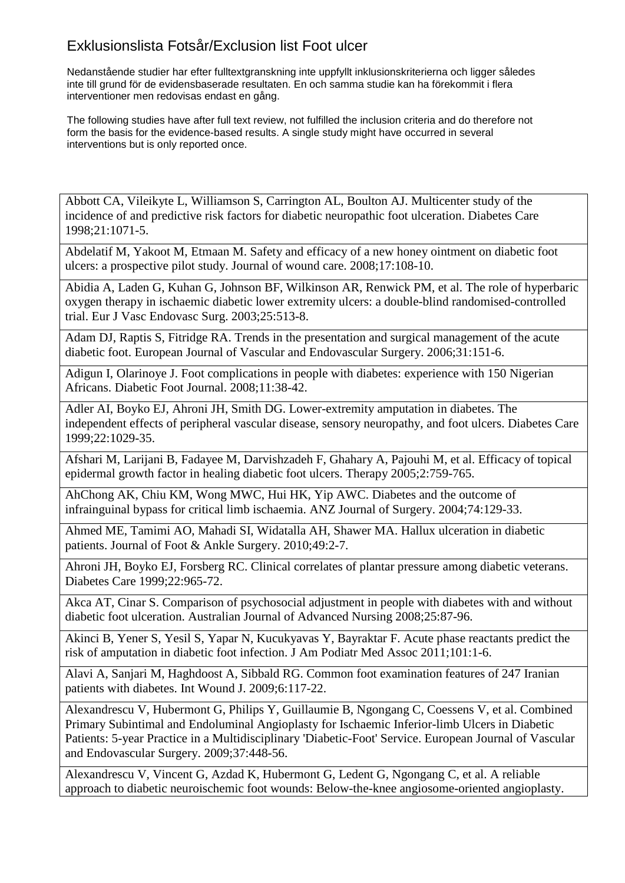Nedanstående studier har efter fulltextgranskning inte uppfyllt inklusionskriterierna och ligger således inte till grund för de evidensbaserade resultaten. En och samma studie kan ha förekommit i flera interventioner men redovisas endast en gång.

The following studies have after full text review, not fulfilled the inclusion criteria and do therefore not form the basis for the evidence-based results. A single study might have occurred in several interventions but is only reported once.

Abbott CA, Vileikyte L, Williamson S, Carrington AL, Boulton AJ. Multicenter study of the incidence of and predictive risk factors for diabetic neuropathic foot ulceration. Diabetes Care 1998;21:1071-5.

Abdelatif M, Yakoot M, Etmaan M. Safety and efficacy of a new honey ointment on diabetic foot ulcers: a prospective pilot study. Journal of wound care. 2008;17:108-10.

Abidia A, Laden G, Kuhan G, Johnson BF, Wilkinson AR, Renwick PM, et al. The role of hyperbaric oxygen therapy in ischaemic diabetic lower extremity ulcers: a double-blind randomised-controlled trial. Eur J Vasc Endovasc Surg. 2003;25:513-8.

Adam DJ, Raptis S, Fitridge RA. Trends in the presentation and surgical management of the acute diabetic foot. European Journal of Vascular and Endovascular Surgery. 2006;31:151-6.

Adigun I, Olarinoye J. Foot complications in people with diabetes: experience with 150 Nigerian Africans. Diabetic Foot Journal. 2008;11:38-42.

Adler AI, Boyko EJ, Ahroni JH, Smith DG. Lower-extremity amputation in diabetes. The independent effects of peripheral vascular disease, sensory neuropathy, and foot ulcers. Diabetes Care 1999;22:1029-35.

Afshari M, Larijani B, Fadayee M, Darvishzadeh F, Ghahary A, Pajouhi M, et al. Efficacy of topical epidermal growth factor in healing diabetic foot ulcers. Therapy 2005;2:759-765.

AhChong AK, Chiu KM, Wong MWC, Hui HK, Yip AWC. Diabetes and the outcome of infrainguinal bypass for critical limb ischaemia. ANZ Journal of Surgery. 2004;74:129-33.

Ahmed ME, Tamimi AO, Mahadi SI, Widatalla AH, Shawer MA. Hallux ulceration in diabetic patients. Journal of Foot & Ankle Surgery. 2010;49:2-7.

Ahroni JH, Boyko EJ, Forsberg RC. Clinical correlates of plantar pressure among diabetic veterans. Diabetes Care 1999;22:965-72.

Akca AT, Cinar S. Comparison of psychosocial adjustment in people with diabetes with and without diabetic foot ulceration. Australian Journal of Advanced Nursing 2008;25:87-96.

Akinci B, Yener S, Yesil S, Yapar N, Kucukyavas Y, Bayraktar F. Acute phase reactants predict the risk of amputation in diabetic foot infection. J Am Podiatr Med Assoc 2011;101:1-6.

Alavi A, Sanjari M, Haghdoost A, Sibbald RG. Common foot examination features of 247 Iranian patients with diabetes. Int Wound J. 2009;6:117-22.

Alexandrescu V, Hubermont G, Philips Y, Guillaumie B, Ngongang C, Coessens V, et al. Combined Primary Subintimal and Endoluminal Angioplasty for Ischaemic Inferior-limb Ulcers in Diabetic Patients: 5-year Practice in a Multidisciplinary 'Diabetic-Foot' Service. European Journal of Vascular and Endovascular Surgery. 2009;37:448-56.

Alexandrescu V, Vincent G, Azdad K, Hubermont G, Ledent G, Ngongang C, et al. A reliable approach to diabetic neuroischemic foot wounds: Below-the-knee angiosome-oriented angioplasty.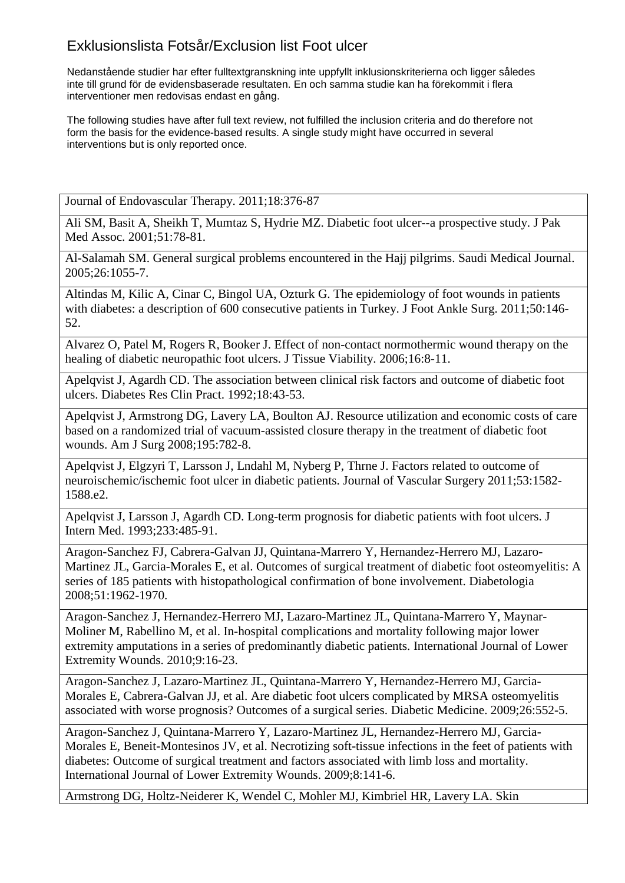Nedanstående studier har efter fulltextgranskning inte uppfyllt inklusionskriterierna och ligger således inte till grund för de evidensbaserade resultaten. En och samma studie kan ha förekommit i flera interventioner men redovisas endast en gång.

The following studies have after full text review, not fulfilled the inclusion criteria and do therefore not form the basis for the evidence-based results. A single study might have occurred in several interventions but is only reported once.

Journal of Endovascular Therapy. 2011;18:376-87

Ali SM, Basit A, Sheikh T, Mumtaz S, Hydrie MZ. Diabetic foot ulcer--a prospective study. J Pak Med Assoc. 2001;51:78-81.

Al-Salamah SM. General surgical problems encountered in the Hajj pilgrims. Saudi Medical Journal. 2005;26:1055-7.

Altindas M, Kilic A, Cinar C, Bingol UA, Ozturk G. The epidemiology of foot wounds in patients with diabetes: a description of 600 consecutive patients in Turkey. J Foot Ankle Surg. 2011;50:146-52.

Alvarez O, Patel M, Rogers R, Booker J. Effect of non-contact normothermic wound therapy on the healing of diabetic neuropathic foot ulcers. J Tissue Viability. 2006;16:8-11.

Apelqvist J, Agardh CD. The association between clinical risk factors and outcome of diabetic foot ulcers. Diabetes Res Clin Pract. 1992;18:43-53.

Apelqvist J, Armstrong DG, Lavery LA, Boulton AJ. Resource utilization and economic costs of care based on a randomized trial of vacuum-assisted closure therapy in the treatment of diabetic foot wounds. Am J Surg 2008;195:782-8.

Apelqvist J, Elgzyri T, Larsson J, Lndahl M, Nyberg P, Thrne J. Factors related to outcome of neuroischemic/ischemic foot ulcer in diabetic patients. Journal of Vascular Surgery 2011;53:1582- 1588.e2.

Apelqvist J, Larsson J, Agardh CD. Long-term prognosis for diabetic patients with foot ulcers. J Intern Med. 1993;233:485-91.

Aragon-Sanchez FJ, Cabrera-Galvan JJ, Quintana-Marrero Y, Hernandez-Herrero MJ, Lazaro-Martinez JL, Garcia-Morales E, et al. Outcomes of surgical treatment of diabetic foot osteomyelitis: A series of 185 patients with histopathological confirmation of bone involvement. Diabetologia 2008;51:1962-1970.

Aragon-Sanchez J, Hernandez-Herrero MJ, Lazaro-Martinez JL, Quintana-Marrero Y, Maynar-Moliner M, Rabellino M, et al. In-hospital complications and mortality following major lower extremity amputations in a series of predominantly diabetic patients. International Journal of Lower Extremity Wounds. 2010;9:16-23.

Aragon-Sanchez J, Lazaro-Martinez JL, Quintana-Marrero Y, Hernandez-Herrero MJ, Garcia-Morales E, Cabrera-Galvan JJ, et al. Are diabetic foot ulcers complicated by MRSA osteomyelitis associated with worse prognosis? Outcomes of a surgical series. Diabetic Medicine. 2009;26:552-5.

Aragon-Sanchez J, Quintana-Marrero Y, Lazaro-Martinez JL, Hernandez-Herrero MJ, Garcia-Morales E, Beneit-Montesinos JV, et al. Necrotizing soft-tissue infections in the feet of patients with diabetes: Outcome of surgical treatment and factors associated with limb loss and mortality. International Journal of Lower Extremity Wounds. 2009;8:141-6.

Armstrong DG, Holtz-Neiderer K, Wendel C, Mohler MJ, Kimbriel HR, Lavery LA. Skin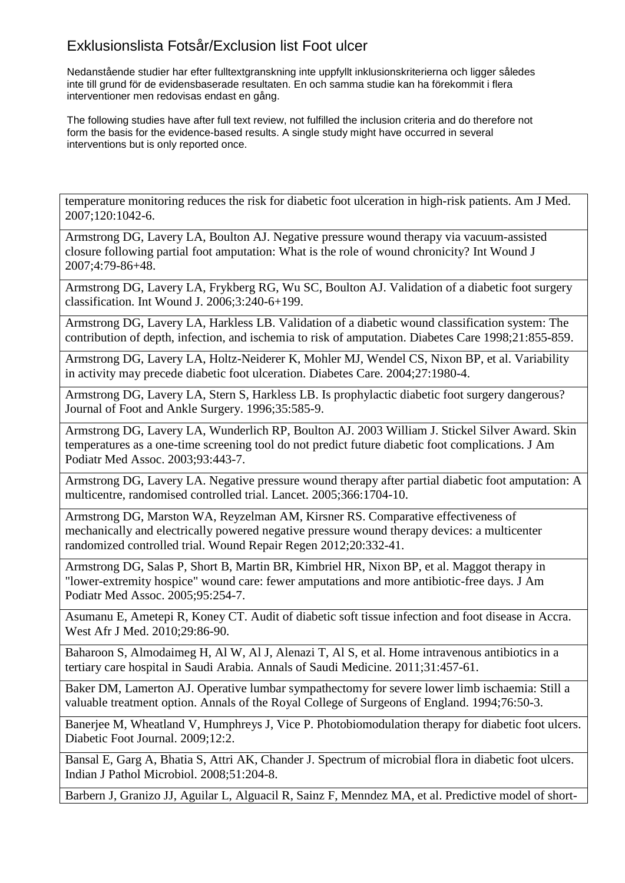Nedanstående studier har efter fulltextgranskning inte uppfyllt inklusionskriterierna och ligger således inte till grund för de evidensbaserade resultaten. En och samma studie kan ha förekommit i flera interventioner men redovisas endast en gång.

The following studies have after full text review, not fulfilled the inclusion criteria and do therefore not form the basis for the evidence-based results. A single study might have occurred in several interventions but is only reported once.

temperature monitoring reduces the risk for diabetic foot ulceration in high-risk patients. Am J Med. 2007;120:1042-6.

Armstrong DG, Lavery LA, Boulton AJ. Negative pressure wound therapy via vacuum-assisted closure following partial foot amputation: What is the role of wound chronicity? Int Wound J 2007;4:79-86+48.

Armstrong DG, Lavery LA, Frykberg RG, Wu SC, Boulton AJ. Validation of a diabetic foot surgery classification. Int Wound J. 2006;3:240-6+199.

Armstrong DG, Lavery LA, Harkless LB. Validation of a diabetic wound classification system: The contribution of depth, infection, and ischemia to risk of amputation. Diabetes Care 1998;21:855-859.

Armstrong DG, Lavery LA, Holtz-Neiderer K, Mohler MJ, Wendel CS, Nixon BP, et al. Variability in activity may precede diabetic foot ulceration. Diabetes Care. 2004;27:1980-4.

Armstrong DG, Lavery LA, Stern S, Harkless LB. Is prophylactic diabetic foot surgery dangerous? Journal of Foot and Ankle Surgery. 1996;35:585-9.

Armstrong DG, Lavery LA, Wunderlich RP, Boulton AJ. 2003 William J. Stickel Silver Award. Skin temperatures as a one-time screening tool do not predict future diabetic foot complications. J Am Podiatr Med Assoc. 2003;93:443-7.

Armstrong DG, Lavery LA. Negative pressure wound therapy after partial diabetic foot amputation: A multicentre, randomised controlled trial. Lancet. 2005;366:1704-10.

Armstrong DG, Marston WA, Reyzelman AM, Kirsner RS. Comparative effectiveness of mechanically and electrically powered negative pressure wound therapy devices: a multicenter randomized controlled trial. Wound Repair Regen 2012;20:332-41.

Armstrong DG, Salas P, Short B, Martin BR, Kimbriel HR, Nixon BP, et al. Maggot therapy in "lower-extremity hospice" wound care: fewer amputations and more antibiotic-free days. J Am Podiatr Med Assoc. 2005;95:254-7.

Asumanu E, Ametepi R, Koney CT. Audit of diabetic soft tissue infection and foot disease in Accra. West Afr J Med. 2010;29:86-90.

Baharoon S, Almodaimeg H, Al W, Al J, Alenazi T, Al S, et al. Home intravenous antibiotics in a tertiary care hospital in Saudi Arabia. Annals of Saudi Medicine. 2011;31:457-61.

Baker DM, Lamerton AJ. Operative lumbar sympathectomy for severe lower limb ischaemia: Still a valuable treatment option. Annals of the Royal College of Surgeons of England. 1994;76:50-3.

Banerjee M, Wheatland V, Humphreys J, Vice P. Photobiomodulation therapy for diabetic foot ulcers. Diabetic Foot Journal. 2009;12:2.

Bansal E, Garg A, Bhatia S, Attri AK, Chander J. Spectrum of microbial flora in diabetic foot ulcers. Indian J Pathol Microbiol. 2008;51:204-8.

Barbern J, Granizo JJ, Aguilar L, Alguacil R, Sainz F, Menndez MA, et al. Predictive model of short-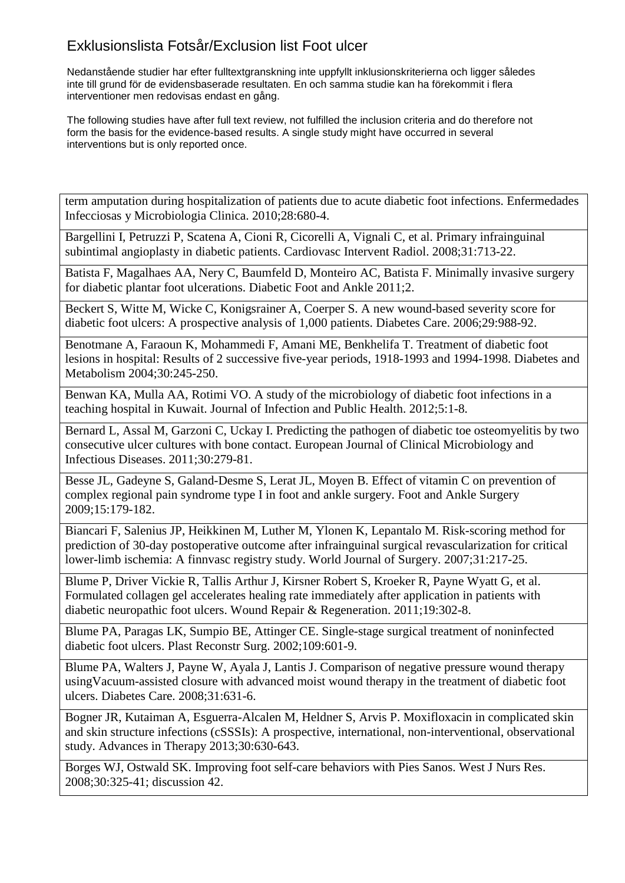Nedanstående studier har efter fulltextgranskning inte uppfyllt inklusionskriterierna och ligger således inte till grund för de evidensbaserade resultaten. En och samma studie kan ha förekommit i flera interventioner men redovisas endast en gång.

The following studies have after full text review, not fulfilled the inclusion criteria and do therefore not form the basis for the evidence-based results. A single study might have occurred in several interventions but is only reported once.

term amputation during hospitalization of patients due to acute diabetic foot infections. Enfermedades Infecciosas y Microbiologia Clinica. 2010;28:680-4.

Bargellini I, Petruzzi P, Scatena A, Cioni R, Cicorelli A, Vignali C, et al. Primary infrainguinal subintimal angioplasty in diabetic patients. Cardiovasc Intervent Radiol. 2008;31:713-22.

Batista F, Magalhaes AA, Nery C, Baumfeld D, Monteiro AC, Batista F. Minimally invasive surgery for diabetic plantar foot ulcerations. Diabetic Foot and Ankle 2011;2.

Beckert S, Witte M, Wicke C, Konigsrainer A, Coerper S. A new wound-based severity score for diabetic foot ulcers: A prospective analysis of 1,000 patients. Diabetes Care. 2006;29:988-92.

Benotmane A, Faraoun K, Mohammedi F, Amani ME, Benkhelifa T. Treatment of diabetic foot lesions in hospital: Results of 2 successive five-year periods, 1918-1993 and 1994-1998. Diabetes and Metabolism 2004;30:245-250.

Benwan KA, Mulla AA, Rotimi VO. A study of the microbiology of diabetic foot infections in a teaching hospital in Kuwait. Journal of Infection and Public Health. 2012;5:1-8.

Bernard L, Assal M, Garzoni C, Uckay I. Predicting the pathogen of diabetic toe osteomyelitis by two consecutive ulcer cultures with bone contact. European Journal of Clinical Microbiology and Infectious Diseases. 2011;30:279-81.

Besse JL, Gadeyne S, Galand-Desme S, Lerat JL, Moyen B. Effect of vitamin C on prevention of complex regional pain syndrome type I in foot and ankle surgery. Foot and Ankle Surgery 2009;15:179-182.

Biancari F, Salenius JP, Heikkinen M, Luther M, Ylonen K, Lepantalo M. Risk-scoring method for prediction of 30-day postoperative outcome after infrainguinal surgical revascularization for critical lower-limb ischemia: A finnvasc registry study. World Journal of Surgery. 2007;31:217-25.

Blume P, Driver Vickie R, Tallis Arthur J, Kirsner Robert S, Kroeker R, Payne Wyatt G, et al. Formulated collagen gel accelerates healing rate immediately after application in patients with diabetic neuropathic foot ulcers. Wound Repair & Regeneration. 2011;19:302-8.

Blume PA, Paragas LK, Sumpio BE, Attinger CE. Single-stage surgical treatment of noninfected diabetic foot ulcers. Plast Reconstr Surg. 2002;109:601-9.

Blume PA, Walters J, Payne W, Ayala J, Lantis J. Comparison of negative pressure wound therapy usingVacuum-assisted closure with advanced moist wound therapy in the treatment of diabetic foot ulcers. Diabetes Care. 2008;31:631-6.

Bogner JR, Kutaiman A, Esguerra-Alcalen M, Heldner S, Arvis P. Moxifloxacin in complicated skin and skin structure infections (cSSSIs): A prospective, international, non-interventional, observational study. Advances in Therapy 2013;30:630-643.

Borges WJ, Ostwald SK. Improving foot self-care behaviors with Pies Sanos. West J Nurs Res. 2008;30:325-41; discussion 42.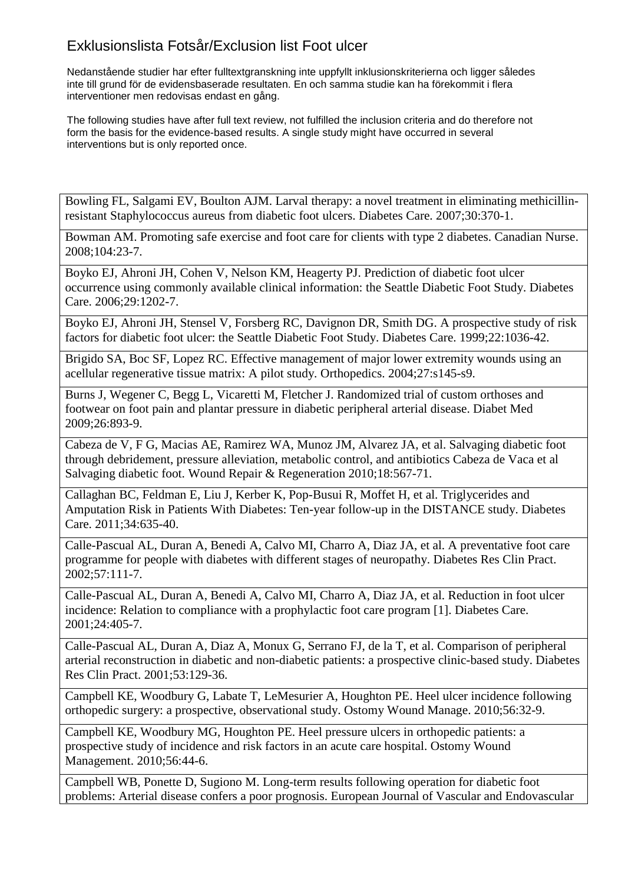Nedanstående studier har efter fulltextgranskning inte uppfyllt inklusionskriterierna och ligger således inte till grund för de evidensbaserade resultaten. En och samma studie kan ha förekommit i flera interventioner men redovisas endast en gång.

The following studies have after full text review, not fulfilled the inclusion criteria and do therefore not form the basis for the evidence-based results. A single study might have occurred in several interventions but is only reported once.

Bowling FL, Salgami EV, Boulton AJM. Larval therapy: a novel treatment in eliminating methicillinresistant Staphylococcus aureus from diabetic foot ulcers. Diabetes Care. 2007;30:370-1.

Bowman AM. Promoting safe exercise and foot care for clients with type 2 diabetes. Canadian Nurse. 2008;104:23-7.

Boyko EJ, Ahroni JH, Cohen V, Nelson KM, Heagerty PJ. Prediction of diabetic foot ulcer occurrence using commonly available clinical information: the Seattle Diabetic Foot Study. Diabetes Care. 2006;29:1202-7.

Boyko EJ, Ahroni JH, Stensel V, Forsberg RC, Davignon DR, Smith DG. A prospective study of risk factors for diabetic foot ulcer: the Seattle Diabetic Foot Study. Diabetes Care. 1999;22:1036-42.

Brigido SA, Boc SF, Lopez RC. Effective management of major lower extremity wounds using an acellular regenerative tissue matrix: A pilot study. Orthopedics. 2004;27:s145-s9.

Burns J, Wegener C, Begg L, Vicaretti M, Fletcher J. Randomized trial of custom orthoses and footwear on foot pain and plantar pressure in diabetic peripheral arterial disease. Diabet Med 2009;26:893-9.

Cabeza de V, F G, Macias AE, Ramirez WA, Munoz JM, Alvarez JA, et al. Salvaging diabetic foot through debridement, pressure alleviation, metabolic control, and antibiotics Cabeza de Vaca et al Salvaging diabetic foot. Wound Repair & Regeneration 2010;18:567-71.

Callaghan BC, Feldman E, Liu J, Kerber K, Pop-Busui R, Moffet H, et al. Triglycerides and Amputation Risk in Patients With Diabetes: Ten-year follow-up in the DISTANCE study. Diabetes Care. 2011;34:635-40.

Calle-Pascual AL, Duran A, Benedi A, Calvo MI, Charro A, Diaz JA, et al. A preventative foot care programme for people with diabetes with different stages of neuropathy. Diabetes Res Clin Pract. 2002;57:111-7.

Calle-Pascual AL, Duran A, Benedi A, Calvo MI, Charro A, Diaz JA, et al. Reduction in foot ulcer incidence: Relation to compliance with a prophylactic foot care program [1]. Diabetes Care. 2001;24:405-7.

Calle-Pascual AL, Duran A, Diaz A, Monux G, Serrano FJ, de la T, et al. Comparison of peripheral arterial reconstruction in diabetic and non-diabetic patients: a prospective clinic-based study. Diabetes Res Clin Pract. 2001;53:129-36.

Campbell KE, Woodbury G, Labate T, LeMesurier A, Houghton PE. Heel ulcer incidence following orthopedic surgery: a prospective, observational study. Ostomy Wound Manage. 2010;56:32-9.

Campbell KE, Woodbury MG, Houghton PE. Heel pressure ulcers in orthopedic patients: a prospective study of incidence and risk factors in an acute care hospital. Ostomy Wound Management. 2010;56:44-6.

Campbell WB, Ponette D, Sugiono M. Long-term results following operation for diabetic foot problems: Arterial disease confers a poor prognosis. European Journal of Vascular and Endovascular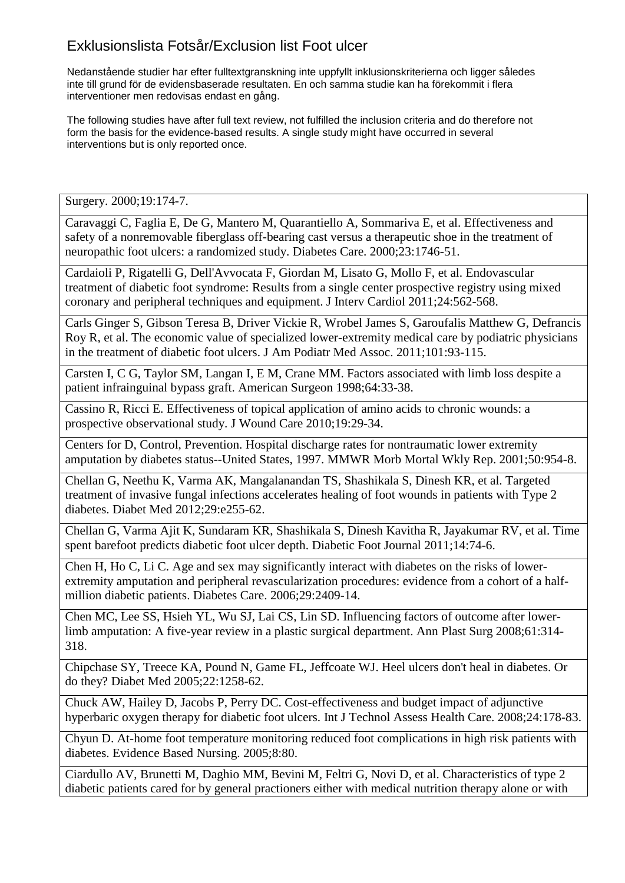Nedanstående studier har efter fulltextgranskning inte uppfyllt inklusionskriterierna och ligger således inte till grund för de evidensbaserade resultaten. En och samma studie kan ha förekommit i flera interventioner men redovisas endast en gång.

The following studies have after full text review, not fulfilled the inclusion criteria and do therefore not form the basis for the evidence-based results. A single study might have occurred in several interventions but is only reported once.

Surgery. 2000;19:174-7.

Caravaggi C, Faglia E, De G, Mantero M, Quarantiello A, Sommariva E, et al. Effectiveness and safety of a nonremovable fiberglass off-bearing cast versus a therapeutic shoe in the treatment of neuropathic foot ulcers: a randomized study. Diabetes Care. 2000;23:1746-51.

Cardaioli P, Rigatelli G, Dell'Avvocata F, Giordan M, Lisato G, Mollo F, et al. Endovascular treatment of diabetic foot syndrome: Results from a single center prospective registry using mixed coronary and peripheral techniques and equipment. J Interv Cardiol 2011;24:562-568.

Carls Ginger S, Gibson Teresa B, Driver Vickie R, Wrobel James S, Garoufalis Matthew G, Defrancis Roy R, et al. The economic value of specialized lower-extremity medical care by podiatric physicians in the treatment of diabetic foot ulcers. J Am Podiatr Med Assoc. 2011;101:93-115.

Carsten I, C G, Taylor SM, Langan I, E M, Crane MM. Factors associated with limb loss despite a patient infrainguinal bypass graft. American Surgeon 1998;64:33-38.

Cassino R, Ricci E. Effectiveness of topical application of amino acids to chronic wounds: a prospective observational study. J Wound Care 2010;19:29-34.

Centers for D, Control, Prevention. Hospital discharge rates for nontraumatic lower extremity amputation by diabetes status--United States, 1997. MMWR Morb Mortal Wkly Rep. 2001;50:954-8.

Chellan G, Neethu K, Varma AK, Mangalanandan TS, Shashikala S, Dinesh KR, et al. Targeted treatment of invasive fungal infections accelerates healing of foot wounds in patients with Type 2 diabetes. Diabet Med 2012;29:e255-62.

Chellan G, Varma Ajit K, Sundaram KR, Shashikala S, Dinesh Kavitha R, Jayakumar RV, et al. Time spent barefoot predicts diabetic foot ulcer depth. Diabetic Foot Journal 2011;14:74-6.

Chen H, Ho C, Li C. Age and sex may significantly interact with diabetes on the risks of lowerextremity amputation and peripheral revascularization procedures: evidence from a cohort of a halfmillion diabetic patients. Diabetes Care. 2006;29:2409-14.

Chen MC, Lee SS, Hsieh YL, Wu SJ, Lai CS, Lin SD. Influencing factors of outcome after lowerlimb amputation: A five-year review in a plastic surgical department. Ann Plast Surg 2008;61:314- 318.

Chipchase SY, Treece KA, Pound N, Game FL, Jeffcoate WJ. Heel ulcers don't heal in diabetes. Or do they? Diabet Med 2005;22:1258-62.

Chuck AW, Hailey D, Jacobs P, Perry DC. Cost-effectiveness and budget impact of adjunctive hyperbaric oxygen therapy for diabetic foot ulcers. Int J Technol Assess Health Care. 2008;24:178-83.

Chyun D. At-home foot temperature monitoring reduced foot complications in high risk patients with diabetes. Evidence Based Nursing. 2005;8:80.

Ciardullo AV, Brunetti M, Daghio MM, Bevini M, Feltri G, Novi D, et al. Characteristics of type 2 diabetic patients cared for by general practioners either with medical nutrition therapy alone or with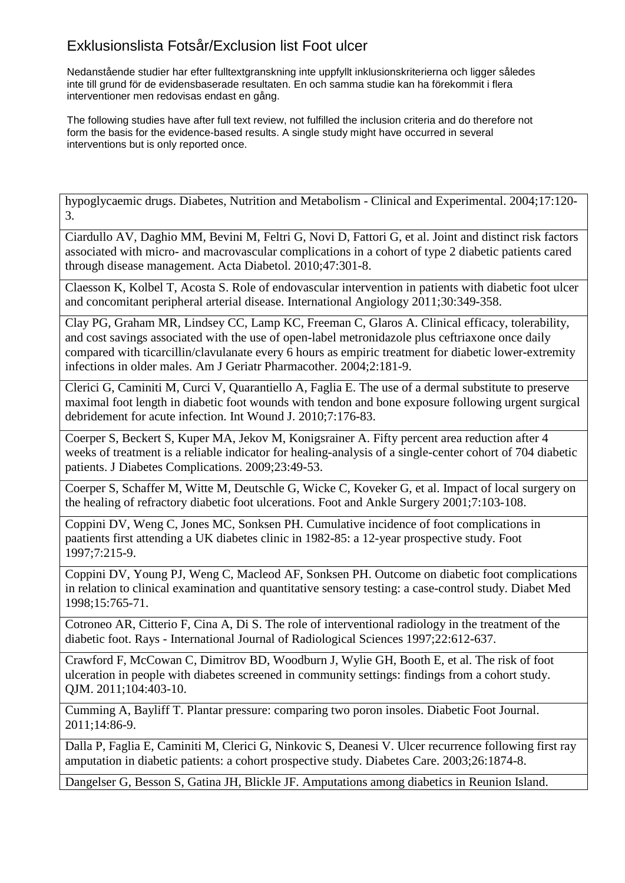Nedanstående studier har efter fulltextgranskning inte uppfyllt inklusionskriterierna och ligger således inte till grund för de evidensbaserade resultaten. En och samma studie kan ha förekommit i flera interventioner men redovisas endast en gång.

The following studies have after full text review, not fulfilled the inclusion criteria and do therefore not form the basis for the evidence-based results. A single study might have occurred in several interventions but is only reported once.

hypoglycaemic drugs. Diabetes, Nutrition and Metabolism - Clinical and Experimental. 2004;17:120- 3.

Ciardullo AV, Daghio MM, Bevini M, Feltri G, Novi D, Fattori G, et al. Joint and distinct risk factors associated with micro- and macrovascular complications in a cohort of type 2 diabetic patients cared through disease management. Acta Diabetol. 2010;47:301-8.

Claesson K, Kolbel T, Acosta S. Role of endovascular intervention in patients with diabetic foot ulcer and concomitant peripheral arterial disease. International Angiology 2011;30:349-358.

Clay PG, Graham MR, Lindsey CC, Lamp KC, Freeman C, Glaros A. Clinical efficacy, tolerability, and cost savings associated with the use of open-label metronidazole plus ceftriaxone once daily compared with ticarcillin/clavulanate every 6 hours as empiric treatment for diabetic lower-extremity infections in older males. Am J Geriatr Pharmacother. 2004;2:181-9.

Clerici G, Caminiti M, Curci V, Quarantiello A, Faglia E. The use of a dermal substitute to preserve maximal foot length in diabetic foot wounds with tendon and bone exposure following urgent surgical debridement for acute infection. Int Wound J. 2010;7:176-83.

Coerper S, Beckert S, Kuper MA, Jekov M, Konigsrainer A. Fifty percent area reduction after 4 weeks of treatment is a reliable indicator for healing-analysis of a single-center cohort of 704 diabetic patients. J Diabetes Complications. 2009;23:49-53.

Coerper S, Schaffer M, Witte M, Deutschle G, Wicke C, Koveker G, et al. Impact of local surgery on the healing of refractory diabetic foot ulcerations. Foot and Ankle Surgery 2001;7:103-108.

Coppini DV, Weng C, Jones MC, Sonksen PH. Cumulative incidence of foot complications in paatients first attending a UK diabetes clinic in 1982-85: a 12-year prospective study. Foot 1997;7:215-9.

Coppini DV, Young PJ, Weng C, Macleod AF, Sonksen PH. Outcome on diabetic foot complications in relation to clinical examination and quantitative sensory testing: a case-control study. Diabet Med 1998;15:765-71.

Cotroneo AR, Citterio F, Cina A, Di S. The role of interventional radiology in the treatment of the diabetic foot. Rays - International Journal of Radiological Sciences 1997;22:612-637.

Crawford F, McCowan C, Dimitrov BD, Woodburn J, Wylie GH, Booth E, et al. The risk of foot ulceration in people with diabetes screened in community settings: findings from a cohort study. QJM. 2011;104:403-10.

Cumming A, Bayliff T. Plantar pressure: comparing two poron insoles. Diabetic Foot Journal. 2011;14:86-9.

Dalla P, Faglia E, Caminiti M, Clerici G, Ninkovic S, Deanesi V. Ulcer recurrence following first ray amputation in diabetic patients: a cohort prospective study. Diabetes Care. 2003;26:1874-8.

Dangelser G, Besson S, Gatina JH, Blickle JF. Amputations among diabetics in Reunion Island.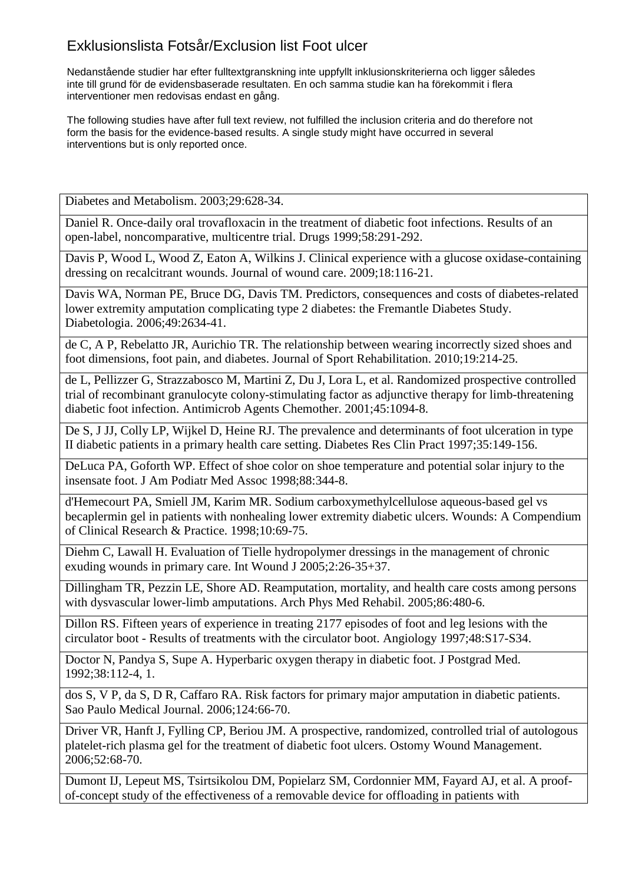Nedanstående studier har efter fulltextgranskning inte uppfyllt inklusionskriterierna och ligger således inte till grund för de evidensbaserade resultaten. En och samma studie kan ha förekommit i flera interventioner men redovisas endast en gång.

The following studies have after full text review, not fulfilled the inclusion criteria and do therefore not form the basis for the evidence-based results. A single study might have occurred in several interventions but is only reported once.

Diabetes and Metabolism. 2003;29:628-34.

Daniel R. Once-daily oral trovafloxacin in the treatment of diabetic foot infections. Results of an open-label, noncomparative, multicentre trial. Drugs 1999;58:291-292.

Davis P, Wood L, Wood Z, Eaton A, Wilkins J. Clinical experience with a glucose oxidase-containing dressing on recalcitrant wounds. Journal of wound care. 2009;18:116-21.

Davis WA, Norman PE, Bruce DG, Davis TM. Predictors, consequences and costs of diabetes-related lower extremity amputation complicating type 2 diabetes: the Fremantle Diabetes Study. Diabetologia. 2006;49:2634-41.

de C, A P, Rebelatto JR, Aurichio TR. The relationship between wearing incorrectly sized shoes and foot dimensions, foot pain, and diabetes. Journal of Sport Rehabilitation. 2010;19:214-25.

de L, Pellizzer G, Strazzabosco M, Martini Z, Du J, Lora L, et al. Randomized prospective controlled trial of recombinant granulocyte colony-stimulating factor as adjunctive therapy for limb-threatening diabetic foot infection. Antimicrob Agents Chemother. 2001;45:1094-8.

De S, J JJ, Colly LP, Wijkel D, Heine RJ. The prevalence and determinants of foot ulceration in type II diabetic patients in a primary health care setting. Diabetes Res Clin Pract 1997;35:149-156.

DeLuca PA, Goforth WP. Effect of shoe color on shoe temperature and potential solar injury to the insensate foot. J Am Podiatr Med Assoc 1998;88:344-8.

d'Hemecourt PA, Smiell JM, Karim MR. Sodium carboxymethylcellulose aqueous-based gel vs becaplermin gel in patients with nonhealing lower extremity diabetic ulcers. Wounds: A Compendium of Clinical Research & Practice. 1998;10:69-75.

Diehm C, Lawall H. Evaluation of Tielle hydropolymer dressings in the management of chronic exuding wounds in primary care. Int Wound J 2005;2:26-35+37.

Dillingham TR, Pezzin LE, Shore AD. Reamputation, mortality, and health care costs among persons with dysvascular lower-limb amputations. Arch Phys Med Rehabil. 2005;86:480-6.

Dillon RS. Fifteen years of experience in treating 2177 episodes of foot and leg lesions with the circulator boot - Results of treatments with the circulator boot. Angiology 1997;48:S17-S34.

Doctor N, Pandya S, Supe A. Hyperbaric oxygen therapy in diabetic foot. J Postgrad Med. 1992;38:112-4, 1.

dos S, V P, da S, D R, Caffaro RA. Risk factors for primary major amputation in diabetic patients. Sao Paulo Medical Journal. 2006;124:66-70.

Driver VR, Hanft J, Fylling CP, Beriou JM. A prospective, randomized, controlled trial of autologous platelet-rich plasma gel for the treatment of diabetic foot ulcers. Ostomy Wound Management. 2006;52:68-70.

Dumont IJ, Lepeut MS, Tsirtsikolou DM, Popielarz SM, Cordonnier MM, Fayard AJ, et al. A proofof-concept study of the effectiveness of a removable device for offloading in patients with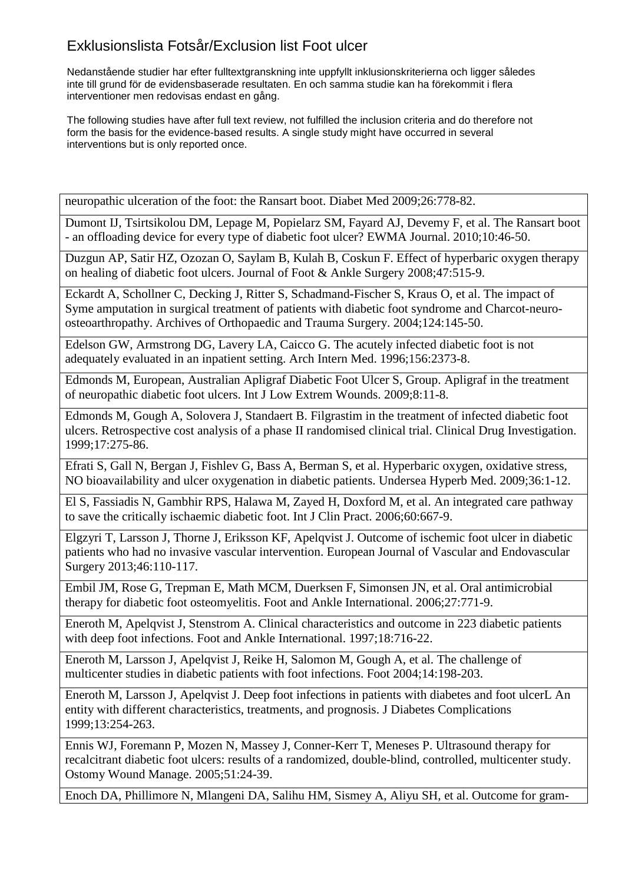Nedanstående studier har efter fulltextgranskning inte uppfyllt inklusionskriterierna och ligger således inte till grund för de evidensbaserade resultaten. En och samma studie kan ha förekommit i flera interventioner men redovisas endast en gång.

The following studies have after full text review, not fulfilled the inclusion criteria and do therefore not form the basis for the evidence-based results. A single study might have occurred in several interventions but is only reported once.

neuropathic ulceration of the foot: the Ransart boot. Diabet Med 2009;26:778-82.

Dumont IJ, Tsirtsikolou DM, Lepage M, Popielarz SM, Fayard AJ, Devemy F, et al. The Ransart boot - an offloading device for every type of diabetic foot ulcer? EWMA Journal. 2010;10:46-50.

Duzgun AP, Satir HZ, Ozozan O, Saylam B, Kulah B, Coskun F. Effect of hyperbaric oxygen therapy on healing of diabetic foot ulcers. Journal of Foot & Ankle Surgery 2008;47:515-9.

Eckardt A, Schollner C, Decking J, Ritter S, Schadmand-Fischer S, Kraus O, et al. The impact of Syme amputation in surgical treatment of patients with diabetic foot syndrome and Charcot-neuroosteoarthropathy. Archives of Orthopaedic and Trauma Surgery. 2004;124:145-50.

Edelson GW, Armstrong DG, Lavery LA, Caicco G. The acutely infected diabetic foot is not adequately evaluated in an inpatient setting. Arch Intern Med. 1996;156:2373-8.

Edmonds M, European, Australian Apligraf Diabetic Foot Ulcer S, Group. Apligraf in the treatment of neuropathic diabetic foot ulcers. Int J Low Extrem Wounds. 2009;8:11-8.

Edmonds M, Gough A, Solovera J, Standaert B. Filgrastim in the treatment of infected diabetic foot ulcers. Retrospective cost analysis of a phase II randomised clinical trial. Clinical Drug Investigation. 1999;17:275-86.

Efrati S, Gall N, Bergan J, Fishlev G, Bass A, Berman S, et al. Hyperbaric oxygen, oxidative stress, NO bioavailability and ulcer oxygenation in diabetic patients. Undersea Hyperb Med. 2009;36:1-12.

El S, Fassiadis N, Gambhir RPS, Halawa M, Zayed H, Doxford M, et al. An integrated care pathway to save the critically ischaemic diabetic foot. Int J Clin Pract. 2006;60:667-9.

Elgzyri T, Larsson J, Thorne J, Eriksson KF, Apelqvist J. Outcome of ischemic foot ulcer in diabetic patients who had no invasive vascular intervention. European Journal of Vascular and Endovascular Surgery 2013;46:110-117.

Embil JM, Rose G, Trepman E, Math MCM, Duerksen F, Simonsen JN, et al. Oral antimicrobial therapy for diabetic foot osteomyelitis. Foot and Ankle International. 2006;27:771-9.

Eneroth M, Apelqvist J, Stenstrom A. Clinical characteristics and outcome in 223 diabetic patients with deep foot infections. Foot and Ankle International. 1997;18:716-22.

Eneroth M, Larsson J, Apelqvist J, Reike H, Salomon M, Gough A, et al. The challenge of multicenter studies in diabetic patients with foot infections. Foot 2004;14:198-203.

Eneroth M, Larsson J, Apelqvist J. Deep foot infections in patients with diabetes and foot ulcerL An entity with different characteristics, treatments, and prognosis. J Diabetes Complications 1999;13:254-263.

Ennis WJ, Foremann P, Mozen N, Massey J, Conner-Kerr T, Meneses P. Ultrasound therapy for recalcitrant diabetic foot ulcers: results of a randomized, double-blind, controlled, multicenter study. Ostomy Wound Manage. 2005;51:24-39.

Enoch DA, Phillimore N, Mlangeni DA, Salihu HM, Sismey A, Aliyu SH, et al. Outcome for gram-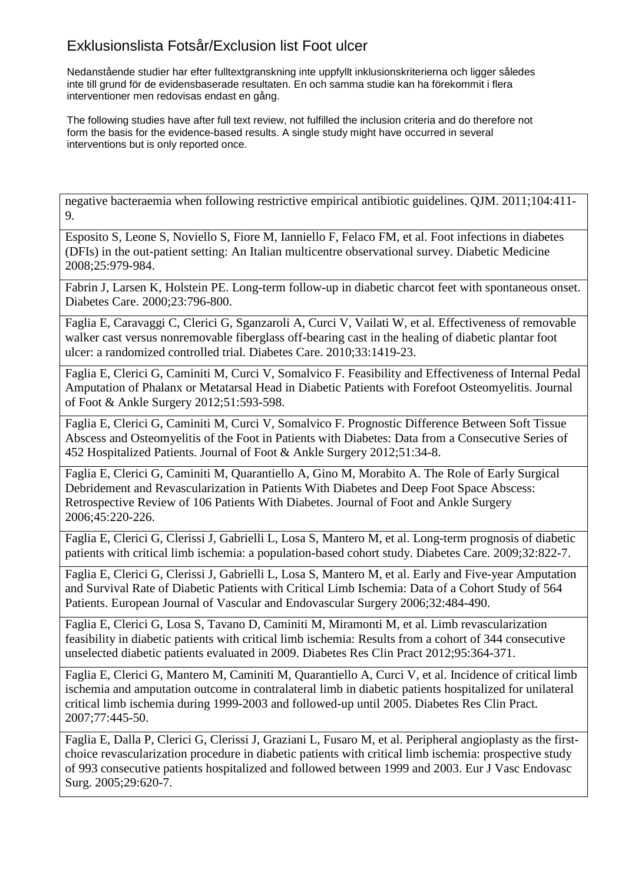Nedanstående studier har efter fulltextgranskning inte uppfyllt inklusionskriterierna och ligger således inte till grund för de evidensbaserade resultaten. En och samma studie kan ha förekommit i flera interventioner men redovisas endast en gång.

The following studies have after full text review, not fulfilled the inclusion criteria and do therefore not form the basis for the evidence-based results. A single study might have occurred in several interventions but is only reported once.

negative bacteraemia when following restrictive empirical antibiotic guidelines. QJM. 2011;104:411- 9.

Esposito S, Leone S, Noviello S, Fiore M, Ianniello F, Felaco FM, et al. Foot infections in diabetes (DFIs) in the out-patient setting: An Italian multicentre observational survey. Diabetic Medicine 2008;25:979-984.

Fabrin J, Larsen K, Holstein PE. Long-term follow-up in diabetic charcot feet with spontaneous onset. Diabetes Care. 2000;23:796-800.

Faglia E, Caravaggi C, Clerici G, Sganzaroli A, Curci V, Vailati W, et al. Effectiveness of removable walker cast versus nonremovable fiberglass off-bearing cast in the healing of diabetic plantar foot ulcer: a randomized controlled trial. Diabetes Care. 2010;33:1419-23.

Faglia E, Clerici G, Caminiti M, Curci V, Somalvico F. Feasibility and Effectiveness of Internal Pedal Amputation of Phalanx or Metatarsal Head in Diabetic Patients with Forefoot Osteomyelitis. Journal of Foot & Ankle Surgery 2012;51:593-598.

Faglia E, Clerici G, Caminiti M, Curci V, Somalvico F. Prognostic Difference Between Soft Tissue Abscess and Osteomyelitis of the Foot in Patients with Diabetes: Data from a Consecutive Series of 452 Hospitalized Patients. Journal of Foot & Ankle Surgery 2012;51:34-8.

Faglia E, Clerici G, Caminiti M, Quarantiello A, Gino M, Morabito A. The Role of Early Surgical Debridement and Revascularization in Patients With Diabetes and Deep Foot Space Abscess: Retrospective Review of 106 Patients With Diabetes. Journal of Foot and Ankle Surgery 2006;45:220-226.

Faglia E, Clerici G, Clerissi J, Gabrielli L, Losa S, Mantero M, et al. Long-term prognosis of diabetic patients with critical limb ischemia: a population-based cohort study. Diabetes Care. 2009;32:822-7.

Faglia E, Clerici G, Clerissi J, Gabrielli L, Losa S, Mantero M, et al. Early and Five-year Amputation and Survival Rate of Diabetic Patients with Critical Limb Ischemia: Data of a Cohort Study of 564 Patients. European Journal of Vascular and Endovascular Surgery 2006;32:484-490.

Faglia E, Clerici G, Losa S, Tavano D, Caminiti M, Miramonti M, et al. Limb revascularization feasibility in diabetic patients with critical limb ischemia: Results from a cohort of 344 consecutive unselected diabetic patients evaluated in 2009. Diabetes Res Clin Pract 2012;95:364-371.

Faglia E, Clerici G, Mantero M, Caminiti M, Quarantiello A, Curci V, et al. Incidence of critical limb ischemia and amputation outcome in contralateral limb in diabetic patients hospitalized for unilateral critical limb ischemia during 1999-2003 and followed-up until 2005. Diabetes Res Clin Pract. 2007;77:445-50.

Faglia E, Dalla P, Clerici G, Clerissi J, Graziani L, Fusaro M, et al. Peripheral angioplasty as the firstchoice revascularization procedure in diabetic patients with critical limb ischemia: prospective study of 993 consecutive patients hospitalized and followed between 1999 and 2003. Eur J Vasc Endovasc Surg. 2005;29:620-7.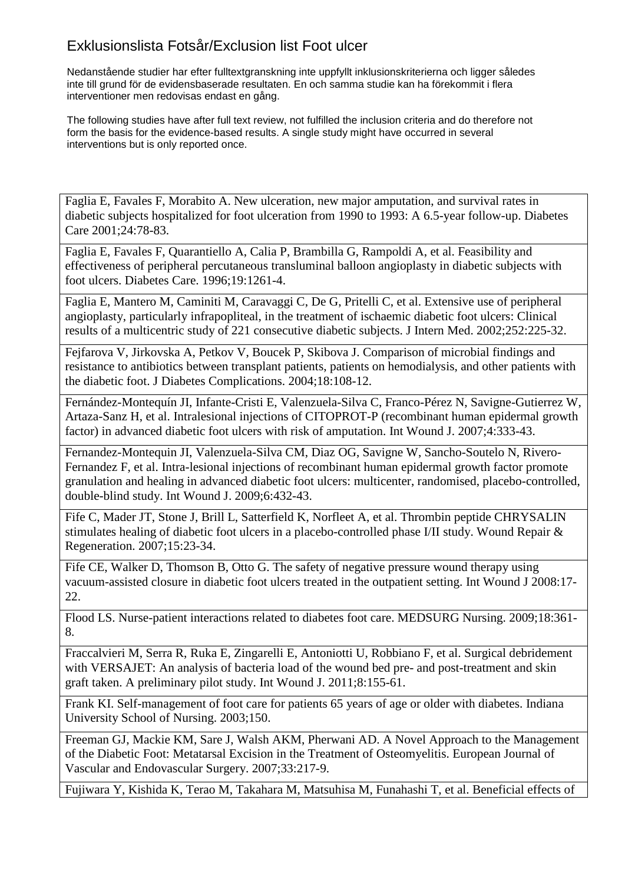Nedanstående studier har efter fulltextgranskning inte uppfyllt inklusionskriterierna och ligger således inte till grund för de evidensbaserade resultaten. En och samma studie kan ha förekommit i flera interventioner men redovisas endast en gång.

The following studies have after full text review, not fulfilled the inclusion criteria and do therefore not form the basis for the evidence-based results. A single study might have occurred in several interventions but is only reported once.

Faglia E, Favales F, Morabito A. New ulceration, new major amputation, and survival rates in diabetic subjects hospitalized for foot ulceration from 1990 to 1993: A 6.5-year follow-up. Diabetes Care 2001;24:78-83.

Faglia E, Favales F, Quarantiello A, Calia P, Brambilla G, Rampoldi A, et al. Feasibility and effectiveness of peripheral percutaneous transluminal balloon angioplasty in diabetic subjects with foot ulcers. Diabetes Care. 1996;19:1261-4.

Faglia E, Mantero M, Caminiti M, Caravaggi C, De G, Pritelli C, et al. Extensive use of peripheral angioplasty, particularly infrapopliteal, in the treatment of ischaemic diabetic foot ulcers: Clinical results of a multicentric study of 221 consecutive diabetic subjects. J Intern Med. 2002;252:225-32.

Fejfarova V, Jirkovska A, Petkov V, Boucek P, Skibova J. Comparison of microbial findings and resistance to antibiotics between transplant patients, patients on hemodialysis, and other patients with the diabetic foot. J Diabetes Complications. 2004;18:108-12.

Fernández-Montequín JI, Infante-Cristi E, Valenzuela-Silva C, Franco-Pérez N, Savigne-Gutierrez W, Artaza-Sanz H, et al. Intralesional injections of CITOPROT-P (recombinant human epidermal growth factor) in advanced diabetic foot ulcers with risk of amputation. Int Wound J. 2007;4:333-43.

Fernandez-Montequin JI, Valenzuela-Silva CM, Diaz OG, Savigne W, Sancho-Soutelo N, Rivero-Fernandez F, et al. Intra-lesional injections of recombinant human epidermal growth factor promote granulation and healing in advanced diabetic foot ulcers: multicenter, randomised, placebo-controlled, double-blind study. Int Wound J. 2009;6:432-43.

Fife C, Mader JT, Stone J, Brill L, Satterfield K, Norfleet A, et al. Thrombin peptide CHRYSALIN stimulates healing of diabetic foot ulcers in a placebo-controlled phase I/II study. Wound Repair & Regeneration. 2007;15:23-34.

Fife CE, Walker D, Thomson B, Otto G. The safety of negative pressure wound therapy using vacuum-assisted closure in diabetic foot ulcers treated in the outpatient setting. Int Wound J 2008:17- 22.

Flood LS. Nurse-patient interactions related to diabetes foot care. MEDSURG Nursing. 2009;18:361- 8.

Fraccalvieri M, Serra R, Ruka E, Zingarelli E, Antoniotti U, Robbiano F, et al. Surgical debridement with VERSAJET: An analysis of bacteria load of the wound bed pre- and post-treatment and skin graft taken. A preliminary pilot study. Int Wound J. 2011;8:155-61.

Frank KI. Self-management of foot care for patients 65 years of age or older with diabetes. Indiana University School of Nursing. 2003;150.

Freeman GJ, Mackie KM, Sare J, Walsh AKM, Pherwani AD. A Novel Approach to the Management of the Diabetic Foot: Metatarsal Excision in the Treatment of Osteomyelitis. European Journal of Vascular and Endovascular Surgery. 2007;33:217-9.

Fujiwara Y, Kishida K, Terao M, Takahara M, Matsuhisa M, Funahashi T, et al. Beneficial effects of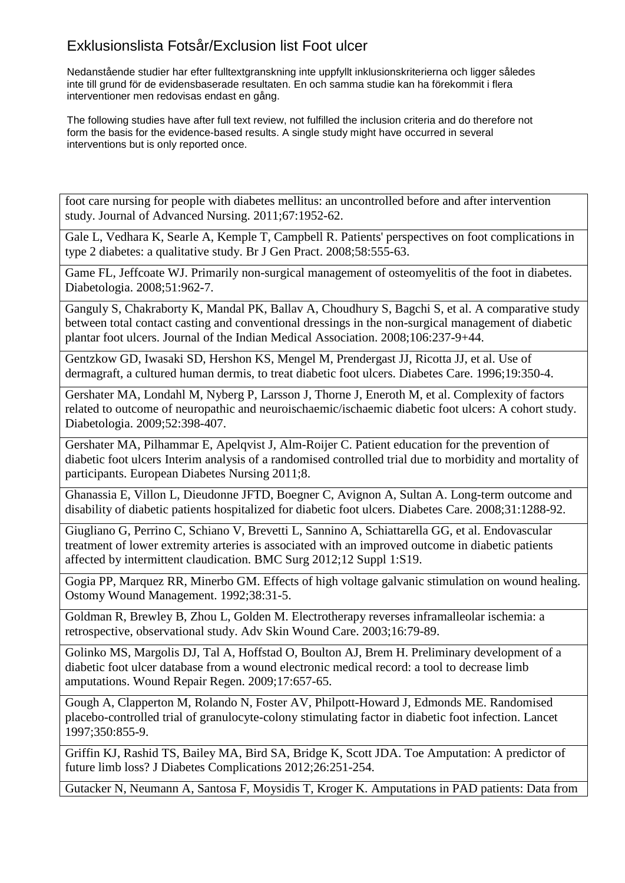Nedanstående studier har efter fulltextgranskning inte uppfyllt inklusionskriterierna och ligger således inte till grund för de evidensbaserade resultaten. En och samma studie kan ha förekommit i flera interventioner men redovisas endast en gång.

The following studies have after full text review, not fulfilled the inclusion criteria and do therefore not form the basis for the evidence-based results. A single study might have occurred in several interventions but is only reported once.

foot care nursing for people with diabetes mellitus: an uncontrolled before and after intervention study. Journal of Advanced Nursing. 2011;67:1952-62.

Gale L, Vedhara K, Searle A, Kemple T, Campbell R. Patients' perspectives on foot complications in type 2 diabetes: a qualitative study. Br J Gen Pract. 2008;58:555-63.

Game FL, Jeffcoate WJ. Primarily non-surgical management of osteomyelitis of the foot in diabetes. Diabetologia. 2008;51:962-7.

Ganguly S, Chakraborty K, Mandal PK, Ballav A, Choudhury S, Bagchi S, et al. A comparative study between total contact casting and conventional dressings in the non-surgical management of diabetic plantar foot ulcers. Journal of the Indian Medical Association. 2008;106:237-9+44.

Gentzkow GD, Iwasaki SD, Hershon KS, Mengel M, Prendergast JJ, Ricotta JJ, et al. Use of dermagraft, a cultured human dermis, to treat diabetic foot ulcers. Diabetes Care. 1996;19:350-4.

Gershater MA, Londahl M, Nyberg P, Larsson J, Thorne J, Eneroth M, et al. Complexity of factors related to outcome of neuropathic and neuroischaemic/ischaemic diabetic foot ulcers: A cohort study. Diabetologia. 2009;52:398-407.

Gershater MA, Pilhammar E, Apelqvist J, Alm-Roijer C. Patient education for the prevention of diabetic foot ulcers Interim analysis of a randomised controlled trial due to morbidity and mortality of participants. European Diabetes Nursing 2011;8.

Ghanassia E, Villon L, Dieudonne JFTD, Boegner C, Avignon A, Sultan A. Long-term outcome and disability of diabetic patients hospitalized for diabetic foot ulcers. Diabetes Care. 2008;31:1288-92.

Giugliano G, Perrino C, Schiano V, Brevetti L, Sannino A, Schiattarella GG, et al. Endovascular treatment of lower extremity arteries is associated with an improved outcome in diabetic patients affected by intermittent claudication. BMC Surg 2012;12 Suppl 1:S19.

Gogia PP, Marquez RR, Minerbo GM. Effects of high voltage galvanic stimulation on wound healing. Ostomy Wound Management. 1992;38:31-5.

Goldman R, Brewley B, Zhou L, Golden M. Electrotherapy reverses inframalleolar ischemia: a retrospective, observational study. Adv Skin Wound Care. 2003;16:79-89.

Golinko MS, Margolis DJ, Tal A, Hoffstad O, Boulton AJ, Brem H. Preliminary development of a diabetic foot ulcer database from a wound electronic medical record: a tool to decrease limb amputations. Wound Repair Regen. 2009;17:657-65.

Gough A, Clapperton M, Rolando N, Foster AV, Philpott-Howard J, Edmonds ME. Randomised placebo-controlled trial of granulocyte-colony stimulating factor in diabetic foot infection. Lancet 1997;350:855-9.

Griffin KJ, Rashid TS, Bailey MA, Bird SA, Bridge K, Scott JDA. Toe Amputation: A predictor of future limb loss? J Diabetes Complications 2012;26:251-254.

Gutacker N, Neumann A, Santosa F, Moysidis T, Kroger K. Amputations in PAD patients: Data from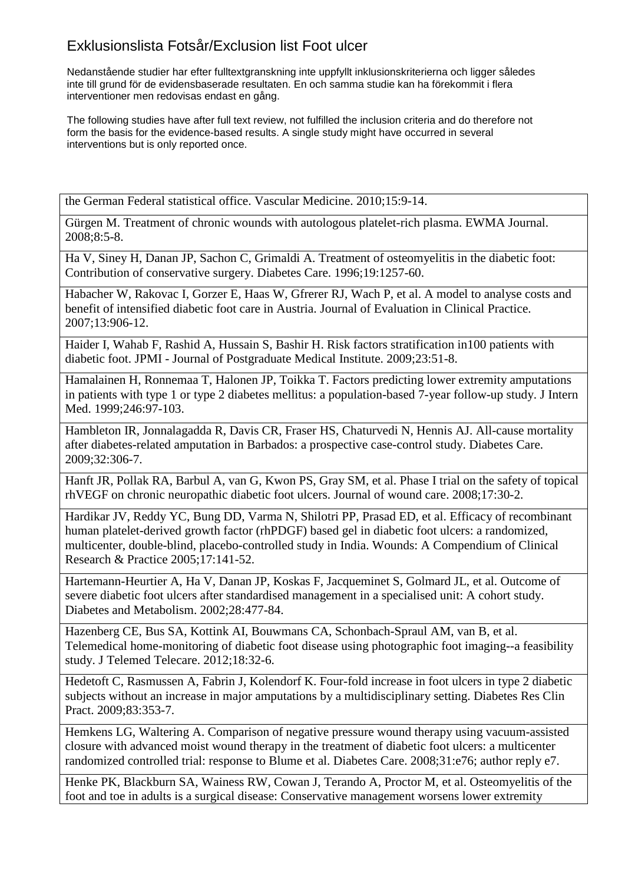Nedanstående studier har efter fulltextgranskning inte uppfyllt inklusionskriterierna och ligger således inte till grund för de evidensbaserade resultaten. En och samma studie kan ha förekommit i flera interventioner men redovisas endast en gång.

The following studies have after full text review, not fulfilled the inclusion criteria and do therefore not form the basis for the evidence-based results. A single study might have occurred in several interventions but is only reported once.

the German Federal statistical office. Vascular Medicine. 2010;15:9-14.

Gürgen M. Treatment of chronic wounds with autologous platelet-rich plasma. EWMA Journal. 2008;8:5-8.

Ha V, Siney H, Danan JP, Sachon C, Grimaldi A. Treatment of osteomyelitis in the diabetic foot: Contribution of conservative surgery. Diabetes Care. 1996;19:1257-60.

Habacher W, Rakovac I, Gorzer E, Haas W, Gfrerer RJ, Wach P, et al. A model to analyse costs and benefit of intensified diabetic foot care in Austria. Journal of Evaluation in Clinical Practice. 2007;13:906-12.

Haider I, Wahab F, Rashid A, Hussain S, Bashir H. Risk factors stratification in100 patients with diabetic foot. JPMI - Journal of Postgraduate Medical Institute. 2009;23:51-8.

Hamalainen H, Ronnemaa T, Halonen JP, Toikka T. Factors predicting lower extremity amputations in patients with type 1 or type 2 diabetes mellitus: a population-based 7-year follow-up study. J Intern Med. 1999;246:97-103.

Hambleton IR, Jonnalagadda R, Davis CR, Fraser HS, Chaturvedi N, Hennis AJ. All-cause mortality after diabetes-related amputation in Barbados: a prospective case-control study. Diabetes Care. 2009;32:306-7.

Hanft JR, Pollak RA, Barbul A, van G, Kwon PS, Gray SM, et al. Phase I trial on the safety of topical rhVEGF on chronic neuropathic diabetic foot ulcers. Journal of wound care. 2008;17:30-2.

Hardikar JV, Reddy YC, Bung DD, Varma N, Shilotri PP, Prasad ED, et al. Efficacy of recombinant human platelet-derived growth factor (rhPDGF) based gel in diabetic foot ulcers: a randomized, multicenter, double-blind, placebo-controlled study in India. Wounds: A Compendium of Clinical Research & Practice 2005;17:141-52.

Hartemann-Heurtier A, Ha V, Danan JP, Koskas F, Jacqueminet S, Golmard JL, et al. Outcome of severe diabetic foot ulcers after standardised management in a specialised unit: A cohort study. Diabetes and Metabolism. 2002;28:477-84.

Hazenberg CE, Bus SA, Kottink AI, Bouwmans CA, Schonbach-Spraul AM, van B, et al. Telemedical home-monitoring of diabetic foot disease using photographic foot imaging--a feasibility study. J Telemed Telecare. 2012;18:32-6.

Hedetoft C, Rasmussen A, Fabrin J, Kolendorf K. Four-fold increase in foot ulcers in type 2 diabetic subjects without an increase in major amputations by a multidisciplinary setting. Diabetes Res Clin Pract. 2009;83:353-7.

Hemkens LG, Waltering A. Comparison of negative pressure wound therapy using vacuum-assisted closure with advanced moist wound therapy in the treatment of diabetic foot ulcers: a multicenter randomized controlled trial: response to Blume et al. Diabetes Care. 2008;31:e76; author reply e7.

Henke PK, Blackburn SA, Wainess RW, Cowan J, Terando A, Proctor M, et al. Osteomyelitis of the foot and toe in adults is a surgical disease: Conservative management worsens lower extremity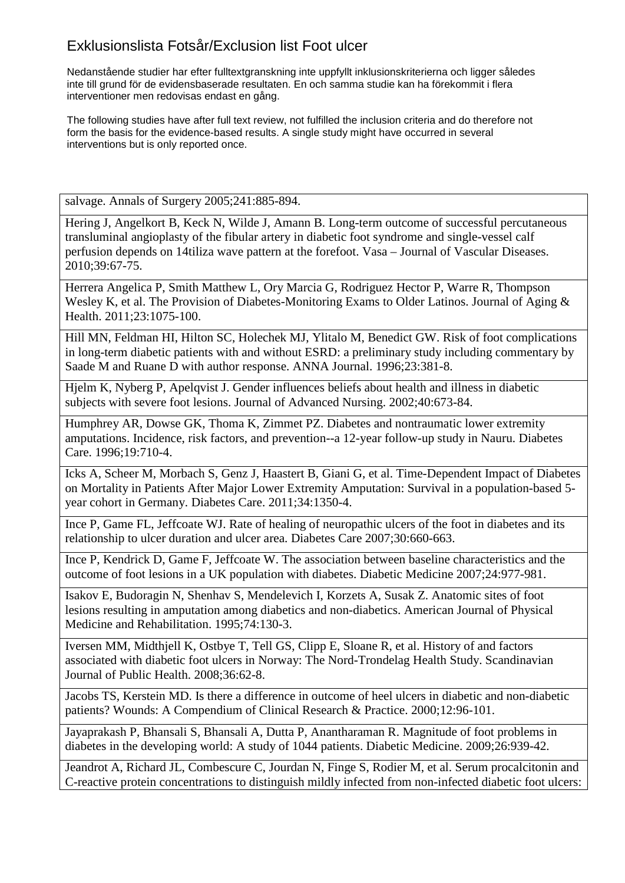Nedanstående studier har efter fulltextgranskning inte uppfyllt inklusionskriterierna och ligger således inte till grund för de evidensbaserade resultaten. En och samma studie kan ha förekommit i flera interventioner men redovisas endast en gång.

The following studies have after full text review, not fulfilled the inclusion criteria and do therefore not form the basis for the evidence-based results. A single study might have occurred in several interventions but is only reported once.

salvage. Annals of Surgery 2005;241:885-894.

Hering J, Angelkort B, Keck N, Wilde J, Amann B. Long-term outcome of successful percutaneous transluminal angioplasty of the fibular artery in diabetic foot syndrome and single-vessel calf perfusion depends on 14tiliza wave pattern at the forefoot. Vasa – Journal of Vascular Diseases. 2010;39:67-75.

Herrera Angelica P, Smith Matthew L, Ory Marcia G, Rodriguez Hector P, Warre R, Thompson Wesley K, et al. The Provision of Diabetes-Monitoring Exams to Older Latinos. Journal of Aging & Health. 2011;23:1075-100.

Hill MN, Feldman HI, Hilton SC, Holechek MJ, Ylitalo M, Benedict GW. Risk of foot complications in long-term diabetic patients with and without ESRD: a preliminary study including commentary by Saade M and Ruane D with author response. ANNA Journal. 1996;23:381-8.

Hjelm K, Nyberg P, Apelqvist J. Gender influences beliefs about health and illness in diabetic subjects with severe foot lesions. Journal of Advanced Nursing. 2002;40:673-84.

Humphrey AR, Dowse GK, Thoma K, Zimmet PZ. Diabetes and nontraumatic lower extremity amputations. Incidence, risk factors, and prevention--a 12-year follow-up study in Nauru. Diabetes Care. 1996;19:710-4.

Icks A, Scheer M, Morbach S, Genz J, Haastert B, Giani G, et al. Time-Dependent Impact of Diabetes on Mortality in Patients After Major Lower Extremity Amputation: Survival in a population-based 5 year cohort in Germany. Diabetes Care. 2011;34:1350-4.

Ince P, Game FL, Jeffcoate WJ. Rate of healing of neuropathic ulcers of the foot in diabetes and its relationship to ulcer duration and ulcer area. Diabetes Care 2007;30:660-663.

Ince P, Kendrick D, Game F, Jeffcoate W. The association between baseline characteristics and the outcome of foot lesions in a UK population with diabetes. Diabetic Medicine 2007;24:977-981.

Isakov E, Budoragin N, Shenhav S, Mendelevich I, Korzets A, Susak Z. Anatomic sites of foot lesions resulting in amputation among diabetics and non-diabetics. American Journal of Physical Medicine and Rehabilitation. 1995;74:130-3.

Iversen MM, Midthjell K, Ostbye T, Tell GS, Clipp E, Sloane R, et al. History of and factors associated with diabetic foot ulcers in Norway: The Nord-Trondelag Health Study. Scandinavian Journal of Public Health. 2008;36:62-8.

Jacobs TS, Kerstein MD. Is there a difference in outcome of heel ulcers in diabetic and non-diabetic patients? Wounds: A Compendium of Clinical Research & Practice. 2000;12:96-101.

Jayaprakash P, Bhansali S, Bhansali A, Dutta P, Anantharaman R. Magnitude of foot problems in diabetes in the developing world: A study of 1044 patients. Diabetic Medicine. 2009;26:939-42.

Jeandrot A, Richard JL, Combescure C, Jourdan N, Finge S, Rodier M, et al. Serum procalcitonin and C-reactive protein concentrations to distinguish mildly infected from non-infected diabetic foot ulcers: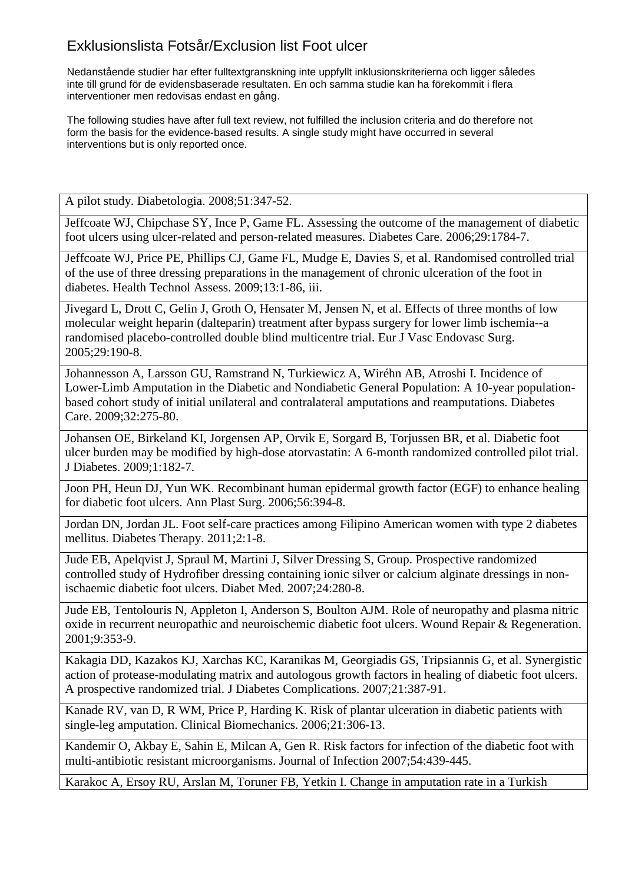Nedanstående studier har efter fulltextgranskning inte uppfyllt inklusionskriterierna och ligger således inte till grund för de evidensbaserade resultaten. En och samma studie kan ha förekommit i flera interventioner men redovisas endast en gång.

The following studies have after full text review, not fulfilled the inclusion criteria and do therefore not form the basis for the evidence-based results. A single study might have occurred in several interventions but is only reported once.

A pilot study. Diabetologia. 2008;51:347-52.

Jeffcoate WJ, Chipchase SY, Ince P, Game FL. Assessing the outcome of the management of diabetic foot ulcers using ulcer-related and person-related measures. Diabetes Care. 2006;29:1784-7.

Jeffcoate WJ, Price PE, Phillips CJ, Game FL, Mudge E, Davies S, et al. Randomised controlled trial of the use of three dressing preparations in the management of chronic ulceration of the foot in diabetes. Health Technol Assess. 2009;13:1-86, iii.

Jivegard L, Drott C, Gelin J, Groth O, Hensater M, Jensen N, et al. Effects of three months of low molecular weight heparin (dalteparin) treatment after bypass surgery for lower limb ischemia--a randomised placebo-controlled double blind multicentre trial. Eur J Vasc Endovasc Surg. 2005;29:190-8.

Johannesson A, Larsson GU, Ramstrand N, Turkiewicz A, Wiréhn AB, Atroshi I. Incidence of Lower-Limb Amputation in the Diabetic and Nondiabetic General Population: A 10-year populationbased cohort study of initial unilateral and contralateral amputations and reamputations. Diabetes Care. 2009;32:275-80.

Johansen OE, Birkeland KI, Jorgensen AP, Orvik E, Sorgard B, Torjussen BR, et al. Diabetic foot ulcer burden may be modified by high-dose atorvastatin: A 6-month randomized controlled pilot trial. J Diabetes. 2009;1:182-7.

Joon PH, Heun DJ, Yun WK. Recombinant human epidermal growth factor (EGF) to enhance healing for diabetic foot ulcers. Ann Plast Surg. 2006;56:394-8.

Jordan DN, Jordan JL. Foot self-care practices among Filipino American women with type 2 diabetes mellitus. Diabetes Therapy. 2011;2:1-8.

Jude EB, Apelqvist J, Spraul M, Martini J, Silver Dressing S, Group. Prospective randomized controlled study of Hydrofiber dressing containing ionic silver or calcium alginate dressings in nonischaemic diabetic foot ulcers. Diabet Med. 2007;24:280-8.

Jude EB, Tentolouris N, Appleton I, Anderson S, Boulton AJM. Role of neuropathy and plasma nitric oxide in recurrent neuropathic and neuroischemic diabetic foot ulcers. Wound Repair & Regeneration. 2001;9:353-9.

Kakagia DD, Kazakos KJ, Xarchas KC, Karanikas M, Georgiadis GS, Tripsiannis G, et al. Synergistic action of protease-modulating matrix and autologous growth factors in healing of diabetic foot ulcers. A prospective randomized trial. J Diabetes Complications. 2007;21:387-91.

Kanade RV, van D, R WM, Price P, Harding K. Risk of plantar ulceration in diabetic patients with single-leg amputation. Clinical Biomechanics. 2006;21:306-13.

Kandemir O, Akbay E, Sahin E, Milcan A, Gen R. Risk factors for infection of the diabetic foot with multi-antibiotic resistant microorganisms. Journal of Infection 2007;54:439-445.

Karakoc A, Ersoy RU, Arslan M, Toruner FB, Yetkin I. Change in amputation rate in a Turkish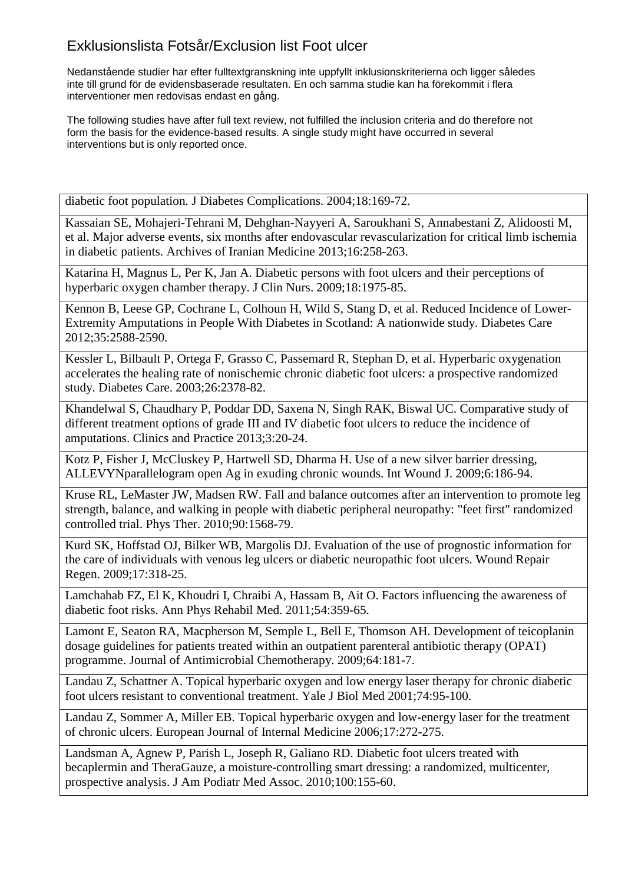Nedanstående studier har efter fulltextgranskning inte uppfyllt inklusionskriterierna och ligger således inte till grund för de evidensbaserade resultaten. En och samma studie kan ha förekommit i flera interventioner men redovisas endast en gång.

The following studies have after full text review, not fulfilled the inclusion criteria and do therefore not form the basis for the evidence-based results. A single study might have occurred in several interventions but is only reported once.

diabetic foot population. J Diabetes Complications. 2004;18:169-72.

Kassaian SE, Mohajeri-Tehrani M, Dehghan-Nayyeri A, Saroukhani S, Annabestani Z, Alidoosti M, et al. Major adverse events, six months after endovascular revascularization for critical limb ischemia in diabetic patients. Archives of Iranian Medicine 2013;16:258-263.

Katarina H, Magnus L, Per K, Jan A. Diabetic persons with foot ulcers and their perceptions of hyperbaric oxygen chamber therapy. J Clin Nurs. 2009;18:1975-85.

Kennon B, Leese GP, Cochrane L, Colhoun H, Wild S, Stang D, et al. Reduced Incidence of Lower-Extremity Amputations in People With Diabetes in Scotland: A nationwide study. Diabetes Care 2012;35:2588-2590.

Kessler L, Bilbault P, Ortega F, Grasso C, Passemard R, Stephan D, et al. Hyperbaric oxygenation accelerates the healing rate of nonischemic chronic diabetic foot ulcers: a prospective randomized study. Diabetes Care. 2003;26:2378-82.

Khandelwal S, Chaudhary P, Poddar DD, Saxena N, Singh RAK, Biswal UC. Comparative study of different treatment options of grade III and IV diabetic foot ulcers to reduce the incidence of amputations. Clinics and Practice 2013;3:20-24.

Kotz P, Fisher J, McCluskey P, Hartwell SD, Dharma H. Use of a new silver barrier dressing, ALLEVYNparallelogram open Ag in exuding chronic wounds. Int Wound J. 2009;6:186-94.

Kruse RL, LeMaster JW, Madsen RW. Fall and balance outcomes after an intervention to promote leg strength, balance, and walking in people with diabetic peripheral neuropathy: "feet first" randomized controlled trial. Phys Ther. 2010;90:1568-79.

Kurd SK, Hoffstad OJ, Bilker WB, Margolis DJ. Evaluation of the use of prognostic information for the care of individuals with venous leg ulcers or diabetic neuropathic foot ulcers. Wound Repair Regen. 2009;17:318-25.

Lamchahab FZ, El K, Khoudri I, Chraibi A, Hassam B, Ait O. Factors influencing the awareness of diabetic foot risks. Ann Phys Rehabil Med. 2011;54:359-65.

Lamont E, Seaton RA, Macpherson M, Semple L, Bell E, Thomson AH. Development of teicoplanin dosage guidelines for patients treated within an outpatient parenteral antibiotic therapy (OPAT) programme. Journal of Antimicrobial Chemotherapy. 2009;64:181-7.

Landau Z, Schattner A. Topical hyperbaric oxygen and low energy laser therapy for chronic diabetic foot ulcers resistant to conventional treatment. Yale J Biol Med 2001;74:95-100.

Landau Z, Sommer A, Miller EB. Topical hyperbaric oxygen and low-energy laser for the treatment of chronic ulcers. European Journal of Internal Medicine 2006;17:272-275.

Landsman A, Agnew P, Parish L, Joseph R, Galiano RD. Diabetic foot ulcers treated with becaplermin and TheraGauze, a moisture-controlling smart dressing: a randomized, multicenter, prospective analysis. J Am Podiatr Med Assoc. 2010;100:155-60.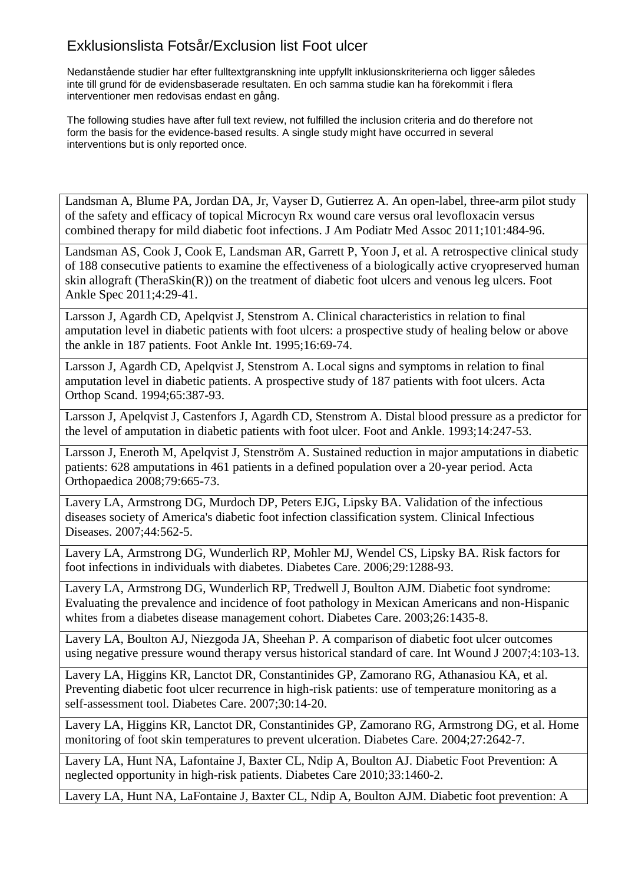Nedanstående studier har efter fulltextgranskning inte uppfyllt inklusionskriterierna och ligger således inte till grund för de evidensbaserade resultaten. En och samma studie kan ha förekommit i flera interventioner men redovisas endast en gång.

The following studies have after full text review, not fulfilled the inclusion criteria and do therefore not form the basis for the evidence-based results. A single study might have occurred in several interventions but is only reported once.

Landsman A, Blume PA, Jordan DA, Jr, Vayser D, Gutierrez A. An open-label, three-arm pilot study of the safety and efficacy of topical Microcyn Rx wound care versus oral levofloxacin versus combined therapy for mild diabetic foot infections. J Am Podiatr Med Assoc 2011;101:484-96.

Landsman AS, Cook J, Cook E, Landsman AR, Garrett P, Yoon J, et al. A retrospective clinical study of 188 consecutive patients to examine the effectiveness of a biologically active cryopreserved human skin allograft (TheraSkin(R)) on the treatment of diabetic foot ulcers and venous leg ulcers. Foot Ankle Spec 2011;4:29-41.

Larsson J, Agardh CD, Apelqvist J, Stenstrom A. Clinical characteristics in relation to final amputation level in diabetic patients with foot ulcers: a prospective study of healing below or above the ankle in 187 patients. Foot Ankle Int. 1995;16:69-74.

Larsson J, Agardh CD, Apelqvist J, Stenstrom A. Local signs and symptoms in relation to final amputation level in diabetic patients. A prospective study of 187 patients with foot ulcers. Acta Orthop Scand. 1994;65:387-93.

Larsson J, Apelqvist J, Castenfors J, Agardh CD, Stenstrom A. Distal blood pressure as a predictor for the level of amputation in diabetic patients with foot ulcer. Foot and Ankle. 1993;14:247-53.

Larsson J, Eneroth M, Apelqvist J, Stenström A. Sustained reduction in major amputations in diabetic patients: 628 amputations in 461 patients in a defined population over a 20-year period. Acta Orthopaedica 2008;79:665-73.

Lavery LA, Armstrong DG, Murdoch DP, Peters EJG, Lipsky BA. Validation of the infectious diseases society of America's diabetic foot infection classification system. Clinical Infectious Diseases. 2007;44:562-5.

Lavery LA, Armstrong DG, Wunderlich RP, Mohler MJ, Wendel CS, Lipsky BA. Risk factors for foot infections in individuals with diabetes. Diabetes Care. 2006;29:1288-93.

Lavery LA, Armstrong DG, Wunderlich RP, Tredwell J, Boulton AJM. Diabetic foot syndrome: Evaluating the prevalence and incidence of foot pathology in Mexican Americans and non-Hispanic whites from a diabetes disease management cohort. Diabetes Care. 2003;26:1435-8.

Lavery LA, Boulton AJ, Niezgoda JA, Sheehan P. A comparison of diabetic foot ulcer outcomes using negative pressure wound therapy versus historical standard of care. Int Wound J 2007;4:103-13.

Lavery LA, Higgins KR, Lanctot DR, Constantinides GP, Zamorano RG, Athanasiou KA, et al. Preventing diabetic foot ulcer recurrence in high-risk patients: use of temperature monitoring as a self-assessment tool. Diabetes Care. 2007;30:14-20.

Lavery LA, Higgins KR, Lanctot DR, Constantinides GP, Zamorano RG, Armstrong DG, et al. Home monitoring of foot skin temperatures to prevent ulceration. Diabetes Care. 2004;27:2642-7.

Lavery LA, Hunt NA, Lafontaine J, Baxter CL, Ndip A, Boulton AJ. Diabetic Foot Prevention: A neglected opportunity in high-risk patients. Diabetes Care 2010;33:1460-2.

Lavery LA, Hunt NA, LaFontaine J, Baxter CL, Ndip A, Boulton AJM. Diabetic foot prevention: A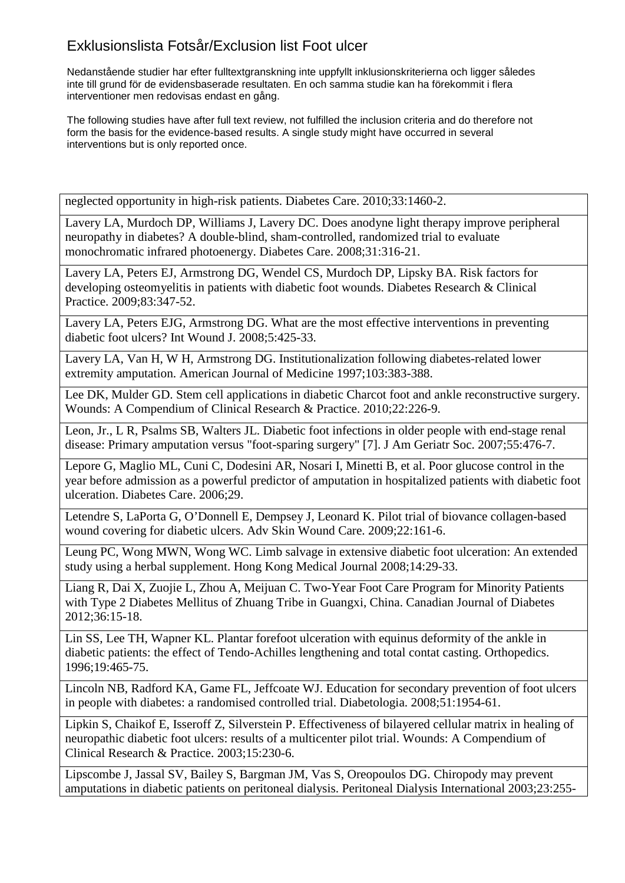Nedanstående studier har efter fulltextgranskning inte uppfyllt inklusionskriterierna och ligger således inte till grund för de evidensbaserade resultaten. En och samma studie kan ha förekommit i flera interventioner men redovisas endast en gång.

The following studies have after full text review, not fulfilled the inclusion criteria and do therefore not form the basis for the evidence-based results. A single study might have occurred in several interventions but is only reported once.

neglected opportunity in high-risk patients. Diabetes Care. 2010;33:1460-2.

Lavery LA, Murdoch DP, Williams J, Lavery DC. Does anodyne light therapy improve peripheral neuropathy in diabetes? A double-blind, sham-controlled, randomized trial to evaluate monochromatic infrared photoenergy. Diabetes Care. 2008;31:316-21.

Lavery LA, Peters EJ, Armstrong DG, Wendel CS, Murdoch DP, Lipsky BA. Risk factors for developing osteomyelitis in patients with diabetic foot wounds. Diabetes Research & Clinical Practice. 2009;83:347-52.

Lavery LA, Peters EJG, Armstrong DG. What are the most effective interventions in preventing diabetic foot ulcers? Int Wound J. 2008;5:425-33.

Lavery LA, Van H, W H, Armstrong DG. Institutionalization following diabetes-related lower extremity amputation. American Journal of Medicine 1997;103:383-388.

Lee DK, Mulder GD. Stem cell applications in diabetic Charcot foot and ankle reconstructive surgery. Wounds: A Compendium of Clinical Research & Practice. 2010;22:226-9.

Leon, Jr., L R, Psalms SB, Walters JL. Diabetic foot infections in older people with end-stage renal disease: Primary amputation versus "foot-sparing surgery" [7]. J Am Geriatr Soc. 2007;55:476-7.

Lepore G, Maglio ML, Cuni C, Dodesini AR, Nosari I, Minetti B, et al. Poor glucose control in the year before admission as a powerful predictor of amputation in hospitalized patients with diabetic foot ulceration. Diabetes Care. 2006;29.

Letendre S, LaPorta G, O'Donnell E, Dempsey J, Leonard K. Pilot trial of biovance collagen-based wound covering for diabetic ulcers. Adv Skin Wound Care. 2009;22:161-6.

Leung PC, Wong MWN, Wong WC. Limb salvage in extensive diabetic foot ulceration: An extended study using a herbal supplement. Hong Kong Medical Journal 2008;14:29-33.

Liang R, Dai X, Zuojie L, Zhou A, Meijuan C. Two-Year Foot Care Program for Minority Patients with Type 2 Diabetes Mellitus of Zhuang Tribe in Guangxi, China. Canadian Journal of Diabetes 2012;36:15-18.

Lin SS, Lee TH, Wapner KL. Plantar forefoot ulceration with equinus deformity of the ankle in diabetic patients: the effect of Tendo-Achilles lengthening and total contat casting. Orthopedics. 1996;19:465-75.

Lincoln NB, Radford KA, Game FL, Jeffcoate WJ. Education for secondary prevention of foot ulcers in people with diabetes: a randomised controlled trial. Diabetologia. 2008;51:1954-61.

Lipkin S, Chaikof E, Isseroff Z, Silverstein P. Effectiveness of bilayered cellular matrix in healing of neuropathic diabetic foot ulcers: results of a multicenter pilot trial. Wounds: A Compendium of Clinical Research & Practice. 2003;15:230-6.

Lipscombe J, Jassal SV, Bailey S, Bargman JM, Vas S, Oreopoulos DG. Chiropody may prevent amputations in diabetic patients on peritoneal dialysis. Peritoneal Dialysis International 2003;23:255-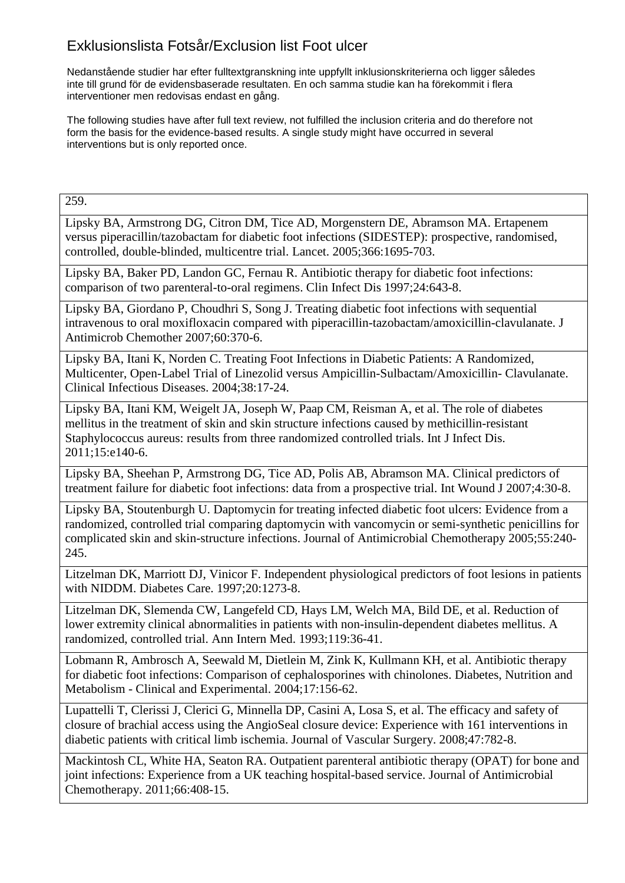Nedanstående studier har efter fulltextgranskning inte uppfyllt inklusionskriterierna och ligger således inte till grund för de evidensbaserade resultaten. En och samma studie kan ha förekommit i flera interventioner men redovisas endast en gång.

The following studies have after full text review, not fulfilled the inclusion criteria and do therefore not form the basis for the evidence-based results. A single study might have occurred in several interventions but is only reported once.

259.

Lipsky BA, Armstrong DG, Citron DM, Tice AD, Morgenstern DE, Abramson MA. Ertapenem versus piperacillin/tazobactam for diabetic foot infections (SIDESTEP): prospective, randomised, controlled, double-blinded, multicentre trial. Lancet. 2005;366:1695-703.

Lipsky BA, Baker PD, Landon GC, Fernau R. Antibiotic therapy for diabetic foot infections: comparison of two parenteral-to-oral regimens. Clin Infect Dis 1997;24:643-8.

Lipsky BA, Giordano P, Choudhri S, Song J. Treating diabetic foot infections with sequential intravenous to oral moxifloxacin compared with piperacillin-tazobactam/amoxicillin-clavulanate. J Antimicrob Chemother 2007;60:370-6.

Lipsky BA, Itani K, Norden C. Treating Foot Infections in Diabetic Patients: A Randomized, Multicenter, Open-Label Trial of Linezolid versus Ampicillin-Sulbactam/Amoxicillin- Clavulanate. Clinical Infectious Diseases. 2004;38:17-24.

Lipsky BA, Itani KM, Weigelt JA, Joseph W, Paap CM, Reisman A, et al. The role of diabetes mellitus in the treatment of skin and skin structure infections caused by methicillin-resistant Staphylococcus aureus: results from three randomized controlled trials. Int J Infect Dis. 2011;15:e140-6.

Lipsky BA, Sheehan P, Armstrong DG, Tice AD, Polis AB, Abramson MA. Clinical predictors of treatment failure for diabetic foot infections: data from a prospective trial. Int Wound J 2007;4:30-8.

Lipsky BA, Stoutenburgh U. Daptomycin for treating infected diabetic foot ulcers: Evidence from a randomized, controlled trial comparing daptomycin with vancomycin or semi-synthetic penicillins for complicated skin and skin-structure infections. Journal of Antimicrobial Chemotherapy 2005;55:240- 245.

Litzelman DK, Marriott DJ, Vinicor F. Independent physiological predictors of foot lesions in patients with NIDDM. Diabetes Care. 1997;20:1273-8.

Litzelman DK, Slemenda CW, Langefeld CD, Hays LM, Welch MA, Bild DE, et al. Reduction of lower extremity clinical abnormalities in patients with non-insulin-dependent diabetes mellitus. A randomized, controlled trial. Ann Intern Med. 1993;119:36-41.

Lobmann R, Ambrosch A, Seewald M, Dietlein M, Zink K, Kullmann KH, et al. Antibiotic therapy for diabetic foot infections: Comparison of cephalosporines with chinolones. Diabetes, Nutrition and Metabolism - Clinical and Experimental. 2004;17:156-62.

Lupattelli T, Clerissi J, Clerici G, Minnella DP, Casini A, Losa S, et al. The efficacy and safety of closure of brachial access using the AngioSeal closure device: Experience with 161 interventions in diabetic patients with critical limb ischemia. Journal of Vascular Surgery. 2008;47:782-8.

Mackintosh CL, White HA, Seaton RA. Outpatient parenteral antibiotic therapy (OPAT) for bone and joint infections: Experience from a UK teaching hospital-based service. Journal of Antimicrobial Chemotherapy. 2011;66:408-15.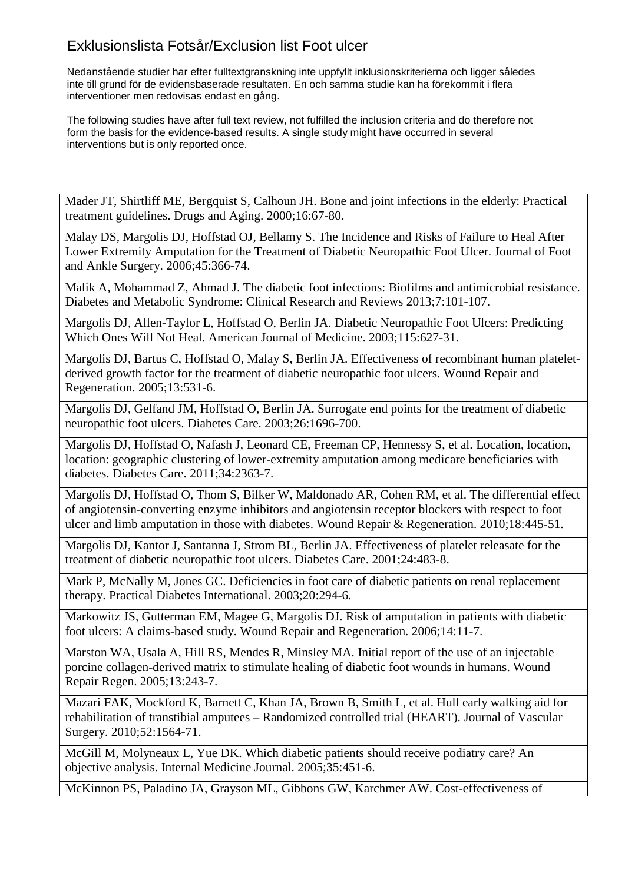Nedanstående studier har efter fulltextgranskning inte uppfyllt inklusionskriterierna och ligger således inte till grund för de evidensbaserade resultaten. En och samma studie kan ha förekommit i flera interventioner men redovisas endast en gång.

The following studies have after full text review, not fulfilled the inclusion criteria and do therefore not form the basis for the evidence-based results. A single study might have occurred in several interventions but is only reported once.

Mader JT, Shirtliff ME, Bergquist S, Calhoun JH. Bone and joint infections in the elderly: Practical treatment guidelines. Drugs and Aging. 2000;16:67-80.

Malay DS, Margolis DJ, Hoffstad OJ, Bellamy S. The Incidence and Risks of Failure to Heal After Lower Extremity Amputation for the Treatment of Diabetic Neuropathic Foot Ulcer. Journal of Foot and Ankle Surgery. 2006;45:366-74.

Malik A, Mohammad Z, Ahmad J. The diabetic foot infections: Biofilms and antimicrobial resistance. Diabetes and Metabolic Syndrome: Clinical Research and Reviews 2013;7:101-107.

Margolis DJ, Allen-Taylor L, Hoffstad O, Berlin JA. Diabetic Neuropathic Foot Ulcers: Predicting Which Ones Will Not Heal. American Journal of Medicine. 2003;115:627-31.

Margolis DJ, Bartus C, Hoffstad O, Malay S, Berlin JA. Effectiveness of recombinant human plateletderived growth factor for the treatment of diabetic neuropathic foot ulcers. Wound Repair and Regeneration. 2005;13:531-6.

Margolis DJ, Gelfand JM, Hoffstad O, Berlin JA. Surrogate end points for the treatment of diabetic neuropathic foot ulcers. Diabetes Care. 2003;26:1696-700.

Margolis DJ, Hoffstad O, Nafash J, Leonard CE, Freeman CP, Hennessy S, et al. Location, location, location: geographic clustering of lower-extremity amputation among medicare beneficiaries with diabetes. Diabetes Care. 2011;34:2363-7.

Margolis DJ, Hoffstad O, Thom S, Bilker W, Maldonado AR, Cohen RM, et al. The differential effect of angiotensin-converting enzyme inhibitors and angiotensin receptor blockers with respect to foot ulcer and limb amputation in those with diabetes. Wound Repair & Regeneration. 2010;18:445-51.

Margolis DJ, Kantor J, Santanna J, Strom BL, Berlin JA. Effectiveness of platelet releasate for the treatment of diabetic neuropathic foot ulcers. Diabetes Care. 2001;24:483-8.

Mark P, McNally M, Jones GC. Deficiencies in foot care of diabetic patients on renal replacement therapy. Practical Diabetes International. 2003;20:294-6.

Markowitz JS, Gutterman EM, Magee G, Margolis DJ. Risk of amputation in patients with diabetic foot ulcers: A claims-based study. Wound Repair and Regeneration. 2006;14:11-7.

Marston WA, Usala A, Hill RS, Mendes R, Minsley MA. Initial report of the use of an injectable porcine collagen-derived matrix to stimulate healing of diabetic foot wounds in humans. Wound Repair Regen. 2005;13:243-7.

Mazari FAK, Mockford K, Barnett C, Khan JA, Brown B, Smith L, et al. Hull early walking aid for rehabilitation of transtibial amputees – Randomized controlled trial (HEART). Journal of Vascular Surgery. 2010;52:1564-71.

McGill M, Molyneaux L, Yue DK. Which diabetic patients should receive podiatry care? An objective analysis. Internal Medicine Journal. 2005;35:451-6.

McKinnon PS, Paladino JA, Grayson ML, Gibbons GW, Karchmer AW. Cost-effectiveness of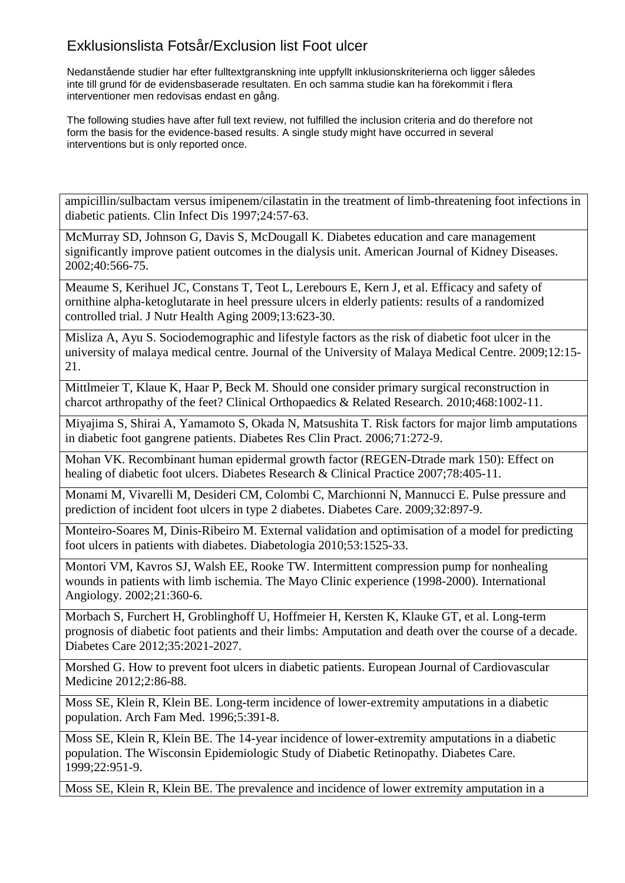Nedanstående studier har efter fulltextgranskning inte uppfyllt inklusionskriterierna och ligger således inte till grund för de evidensbaserade resultaten. En och samma studie kan ha förekommit i flera interventioner men redovisas endast en gång.

The following studies have after full text review, not fulfilled the inclusion criteria and do therefore not form the basis for the evidence-based results. A single study might have occurred in several interventions but is only reported once.

ampicillin/sulbactam versus imipenem/cilastatin in the treatment of limb-threatening foot infections in diabetic patients. Clin Infect Dis 1997;24:57-63.

McMurray SD, Johnson G, Davis S, McDougall K. Diabetes education and care management significantly improve patient outcomes in the dialysis unit. American Journal of Kidney Diseases. 2002;40:566-75.

Meaume S, Kerihuel JC, Constans T, Teot L, Lerebours E, Kern J, et al. Efficacy and safety of ornithine alpha-ketoglutarate in heel pressure ulcers in elderly patients: results of a randomized controlled trial. J Nutr Health Aging 2009;13:623-30.

Misliza A, Ayu S. Sociodemographic and lifestyle factors as the risk of diabetic foot ulcer in the university of malaya medical centre. Journal of the University of Malaya Medical Centre. 2009;12:15- 21.

Mittlmeier T, Klaue K, Haar P, Beck M. Should one consider primary surgical reconstruction in charcot arthropathy of the feet? Clinical Orthopaedics & Related Research. 2010;468:1002-11.

Miyajima S, Shirai A, Yamamoto S, Okada N, Matsushita T. Risk factors for major limb amputations in diabetic foot gangrene patients. Diabetes Res Clin Pract. 2006;71:272-9.

Mohan VK. Recombinant human epidermal growth factor (REGEN-Dtrade mark 150): Effect on healing of diabetic foot ulcers. Diabetes Research & Clinical Practice 2007;78:405-11.

Monami M, Vivarelli M, Desideri CM, Colombi C, Marchionni N, Mannucci E. Pulse pressure and prediction of incident foot ulcers in type 2 diabetes. Diabetes Care. 2009;32:897-9.

Monteiro-Soares M, Dinis-Ribeiro M. External validation and optimisation of a model for predicting foot ulcers in patients with diabetes. Diabetologia 2010;53:1525-33.

Montori VM, Kavros SJ, Walsh EE, Rooke TW. Intermittent compression pump for nonhealing wounds in patients with limb ischemia. The Mayo Clinic experience (1998-2000). International Angiology. 2002;21:360-6.

Morbach S, Furchert H, Groblinghoff U, Hoffmeier H, Kersten K, Klauke GT, et al. Long-term prognosis of diabetic foot patients and their limbs: Amputation and death over the course of a decade. Diabetes Care 2012;35:2021-2027.

Morshed G. How to prevent foot ulcers in diabetic patients. European Journal of Cardiovascular Medicine 2012;2:86-88.

Moss SE, Klein R, Klein BE. Long-term incidence of lower-extremity amputations in a diabetic population. Arch Fam Med. 1996;5:391-8.

Moss SE, Klein R, Klein BE. The 14-year incidence of lower-extremity amputations in a diabetic population. The Wisconsin Epidemiologic Study of Diabetic Retinopathy. Diabetes Care. 1999;22:951-9.

Moss SE, Klein R, Klein BE. The prevalence and incidence of lower extremity amputation in a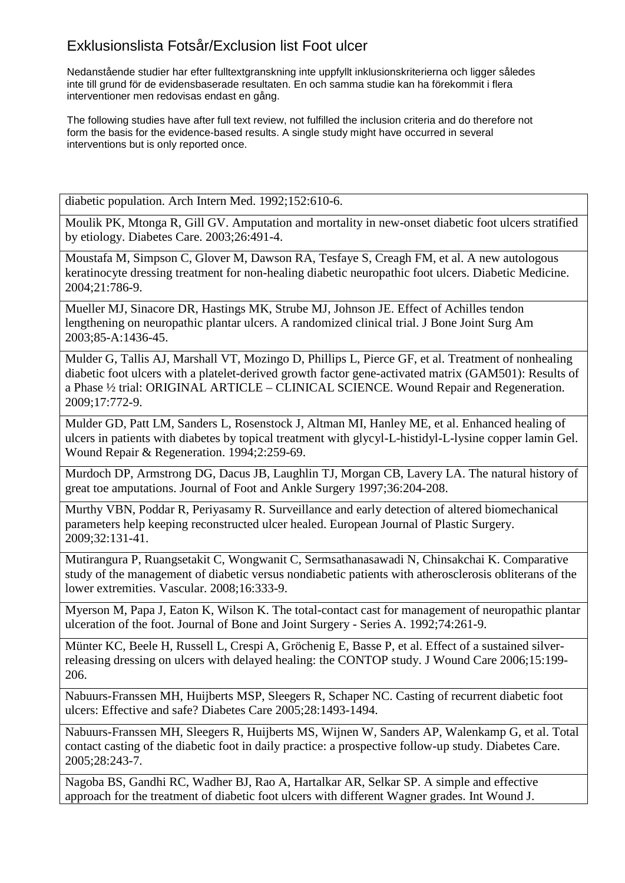Nedanstående studier har efter fulltextgranskning inte uppfyllt inklusionskriterierna och ligger således inte till grund för de evidensbaserade resultaten. En och samma studie kan ha förekommit i flera interventioner men redovisas endast en gång.

The following studies have after full text review, not fulfilled the inclusion criteria and do therefore not form the basis for the evidence-based results. A single study might have occurred in several interventions but is only reported once.

diabetic population. Arch Intern Med. 1992;152:610-6.

Moulik PK, Mtonga R, Gill GV. Amputation and mortality in new-onset diabetic foot ulcers stratified by etiology. Diabetes Care. 2003;26:491-4.

Moustafa M, Simpson C, Glover M, Dawson RA, Tesfaye S, Creagh FM, et al. A new autologous keratinocyte dressing treatment for non-healing diabetic neuropathic foot ulcers. Diabetic Medicine. 2004;21:786-9.

Mueller MJ, Sinacore DR, Hastings MK, Strube MJ, Johnson JE. Effect of Achilles tendon lengthening on neuropathic plantar ulcers. A randomized clinical trial. J Bone Joint Surg Am 2003;85-A:1436-45.

Mulder G, Tallis AJ, Marshall VT, Mozingo D, Phillips L, Pierce GF, et al. Treatment of nonhealing diabetic foot ulcers with a platelet-derived growth factor gene-activated matrix (GAM501): Results of a Phase ½ trial: ORIGINAL ARTICLE – CLINICAL SCIENCE. Wound Repair and Regeneration. 2009;17:772-9.

Mulder GD, Patt LM, Sanders L, Rosenstock J, Altman MI, Hanley ME, et al. Enhanced healing of ulcers in patients with diabetes by topical treatment with glycyl-L-histidyl-L-lysine copper lamin Gel. Wound Repair & Regeneration. 1994;2:259-69.

Murdoch DP, Armstrong DG, Dacus JB, Laughlin TJ, Morgan CB, Lavery LA. The natural history of great toe amputations. Journal of Foot and Ankle Surgery 1997;36:204-208.

Murthy VBN, Poddar R, Periyasamy R. Surveillance and early detection of altered biomechanical parameters help keeping reconstructed ulcer healed. European Journal of Plastic Surgery. 2009;32:131-41.

Mutirangura P, Ruangsetakit C, Wongwanit C, Sermsathanasawadi N, Chinsakchai K. Comparative study of the management of diabetic versus nondiabetic patients with atherosclerosis obliterans of the lower extremities. Vascular. 2008;16:333-9.

Myerson M, Papa J, Eaton K, Wilson K. The total-contact cast for management of neuropathic plantar ulceration of the foot. Journal of Bone and Joint Surgery - Series A. 1992;74:261-9.

Münter KC, Beele H, Russell L, Crespi A, Gröchenig E, Basse P, et al. Effect of a sustained silverreleasing dressing on ulcers with delayed healing: the CONTOP study. J Wound Care 2006;15:199- 206.

Nabuurs-Franssen MH, Huijberts MSP, Sleegers R, Schaper NC. Casting of recurrent diabetic foot ulcers: Effective and safe? Diabetes Care 2005;28:1493-1494.

Nabuurs-Franssen MH, Sleegers R, Huijberts MS, Wijnen W, Sanders AP, Walenkamp G, et al. Total contact casting of the diabetic foot in daily practice: a prospective follow-up study. Diabetes Care. 2005;28:243-7.

Nagoba BS, Gandhi RC, Wadher BJ, Rao A, Hartalkar AR, Selkar SP. A simple and effective approach for the treatment of diabetic foot ulcers with different Wagner grades. Int Wound J.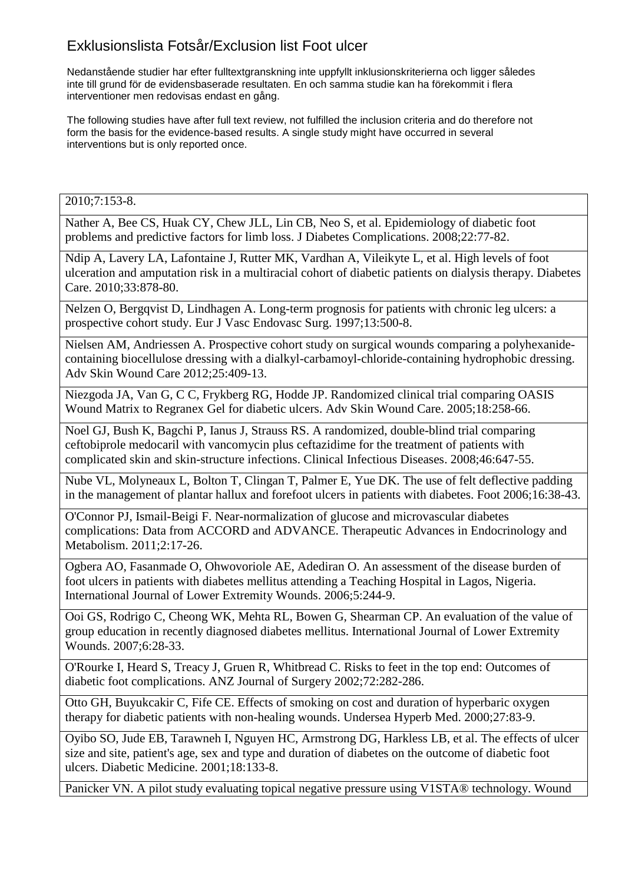Nedanstående studier har efter fulltextgranskning inte uppfyllt inklusionskriterierna och ligger således inte till grund för de evidensbaserade resultaten. En och samma studie kan ha förekommit i flera interventioner men redovisas endast en gång.

The following studies have after full text review, not fulfilled the inclusion criteria and do therefore not form the basis for the evidence-based results. A single study might have occurred in several interventions but is only reported once.

2010;7:153-8.

Nather A, Bee CS, Huak CY, Chew JLL, Lin CB, Neo S, et al. Epidemiology of diabetic foot problems and predictive factors for limb loss. J Diabetes Complications. 2008;22:77-82.

Ndip A, Lavery LA, Lafontaine J, Rutter MK, Vardhan A, Vileikyte L, et al. High levels of foot ulceration and amputation risk in a multiracial cohort of diabetic patients on dialysis therapy. Diabetes Care. 2010;33:878-80.

Nelzen O, Bergqvist D, Lindhagen A. Long-term prognosis for patients with chronic leg ulcers: a prospective cohort study. Eur J Vasc Endovasc Surg. 1997;13:500-8.

Nielsen AM, Andriessen A. Prospective cohort study on surgical wounds comparing a polyhexanidecontaining biocellulose dressing with a dialkyl-carbamoyl-chloride-containing hydrophobic dressing. Adv Skin Wound Care 2012;25:409-13.

Niezgoda JA, Van G, C C, Frykberg RG, Hodde JP. Randomized clinical trial comparing OASIS Wound Matrix to Regranex Gel for diabetic ulcers. Adv Skin Wound Care. 2005;18:258-66.

Noel GJ, Bush K, Bagchi P, Ianus J, Strauss RS. A randomized, double-blind trial comparing ceftobiprole medocaril with vancomycin plus ceftazidime for the treatment of patients with complicated skin and skin-structure infections. Clinical Infectious Diseases. 2008;46:647-55.

Nube VL, Molyneaux L, Bolton T, Clingan T, Palmer E, Yue DK. The use of felt deflective padding in the management of plantar hallux and forefoot ulcers in patients with diabetes. Foot 2006;16:38-43.

O'Connor PJ, Ismail-Beigi F. Near-normalization of glucose and microvascular diabetes complications: Data from ACCORD and ADVANCE. Therapeutic Advances in Endocrinology and Metabolism. 2011;2:17-26.

Ogbera AO, Fasanmade O, Ohwovoriole AE, Adediran O. An assessment of the disease burden of foot ulcers in patients with diabetes mellitus attending a Teaching Hospital in Lagos, Nigeria. International Journal of Lower Extremity Wounds. 2006;5:244-9.

Ooi GS, Rodrigo C, Cheong WK, Mehta RL, Bowen G, Shearman CP. An evaluation of the value of group education in recently diagnosed diabetes mellitus. International Journal of Lower Extremity Wounds. 2007;6:28-33.

O'Rourke I, Heard S, Treacy J, Gruen R, Whitbread C. Risks to feet in the top end: Outcomes of diabetic foot complications. ANZ Journal of Surgery 2002;72:282-286.

Otto GH, Buyukcakir C, Fife CE. Effects of smoking on cost and duration of hyperbaric oxygen therapy for diabetic patients with non-healing wounds. Undersea Hyperb Med. 2000;27:83-9.

Oyibo SO, Jude EB, Tarawneh I, Nguyen HC, Armstrong DG, Harkless LB, et al. The effects of ulcer size and site, patient's age, sex and type and duration of diabetes on the outcome of diabetic foot ulcers. Diabetic Medicine. 2001;18:133-8.

Panicker VN. A pilot study evaluating topical negative pressure using V1STA® technology. Wound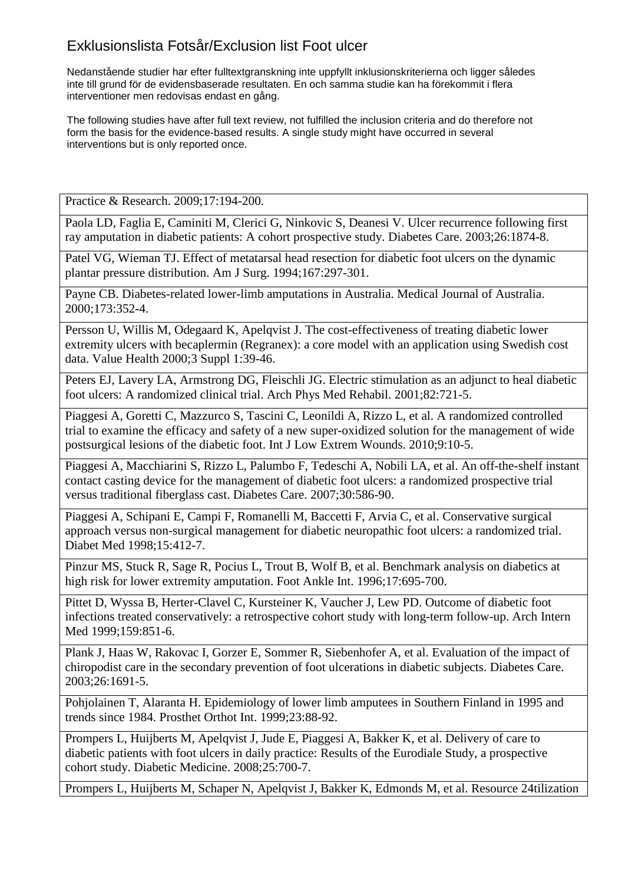Nedanstående studier har efter fulltextgranskning inte uppfyllt inklusionskriterierna och ligger således inte till grund för de evidensbaserade resultaten. En och samma studie kan ha förekommit i flera interventioner men redovisas endast en gång.

The following studies have after full text review, not fulfilled the inclusion criteria and do therefore not form the basis for the evidence-based results. A single study might have occurred in several interventions but is only reported once.

Practice & Research. 2009;17:194-200.

Paola LD, Faglia E, Caminiti M, Clerici G, Ninkovic S, Deanesi V. Ulcer recurrence following first ray amputation in diabetic patients: A cohort prospective study. Diabetes Care. 2003;26:1874-8.

Patel VG, Wieman TJ. Effect of metatarsal head resection for diabetic foot ulcers on the dynamic plantar pressure distribution. Am J Surg. 1994;167:297-301.

Payne CB. Diabetes-related lower-limb amputations in Australia. Medical Journal of Australia. 2000;173:352-4.

Persson U, Willis M, Odegaard K, Apelqvist J. The cost-effectiveness of treating diabetic lower extremity ulcers with becaplermin (Regranex): a core model with an application using Swedish cost data. Value Health 2000;3 Suppl 1:39-46.

Peters EJ, Lavery LA, Armstrong DG, Fleischli JG. Electric stimulation as an adjunct to heal diabetic foot ulcers: A randomized clinical trial. Arch Phys Med Rehabil. 2001;82:721-5.

Piaggesi A, Goretti C, Mazzurco S, Tascini C, Leonildi A, Rizzo L, et al. A randomized controlled trial to examine the efficacy and safety of a new super-oxidized solution for the management of wide postsurgical lesions of the diabetic foot. Int J Low Extrem Wounds. 2010;9:10-5.

Piaggesi A, Macchiarini S, Rizzo L, Palumbo F, Tedeschi A, Nobili LA, et al. An off-the-shelf instant contact casting device for the management of diabetic foot ulcers: a randomized prospective trial versus traditional fiberglass cast. Diabetes Care. 2007;30:586-90.

Piaggesi A, Schipani E, Campi F, Romanelli M, Baccetti F, Arvia C, et al. Conservative surgical approach versus non-surgical management for diabetic neuropathic foot ulcers: a randomized trial. Diabet Med 1998;15:412-7.

Pinzur MS, Stuck R, Sage R, Pocius L, Trout B, Wolf B, et al. Benchmark analysis on diabetics at high risk for lower extremity amputation. Foot Ankle Int. 1996;17:695-700.

Pittet D, Wyssa B, Herter-Clavel C, Kursteiner K, Vaucher J, Lew PD. Outcome of diabetic foot infections treated conservatively: a retrospective cohort study with long-term follow-up. Arch Intern Med 1999;159:851-6.

Plank J, Haas W, Rakovac I, Gorzer E, Sommer R, Siebenhofer A, et al. Evaluation of the impact of chiropodist care in the secondary prevention of foot ulcerations in diabetic subjects. Diabetes Care. 2003;26:1691-5.

Pohjolainen T, Alaranta H. Epidemiology of lower limb amputees in Southern Finland in 1995 and trends since 1984. Prosthet Orthot Int. 1999;23:88-92.

Prompers L, Huijberts M, Apelqvist J, Jude E, Piaggesi A, Bakker K, et al. Delivery of care to diabetic patients with foot ulcers in daily practice: Results of the Eurodiale Study, a prospective cohort study. Diabetic Medicine. 2008;25:700-7.

Prompers L, Huijberts M, Schaper N, Apelqvist J, Bakker K, Edmonds M, et al. Resource 24tilization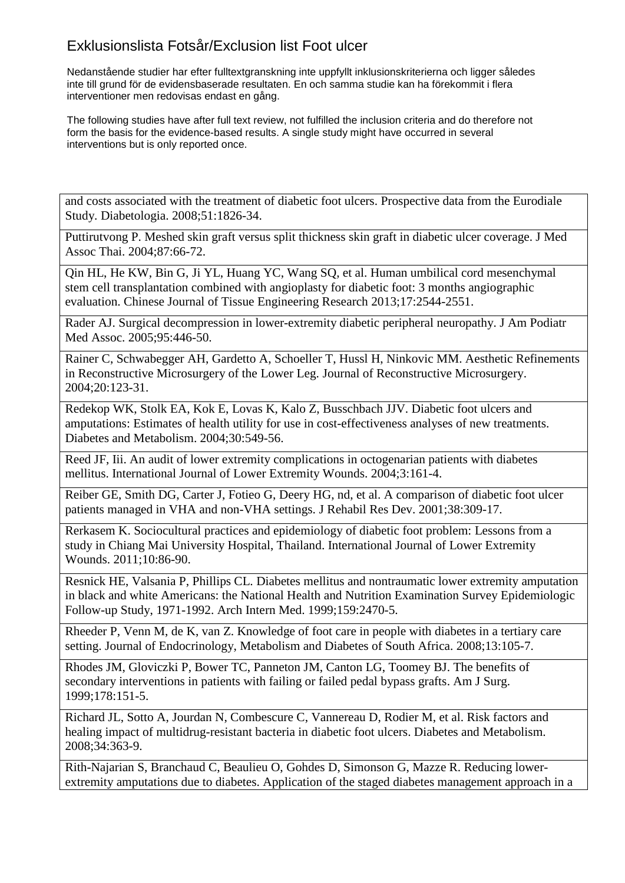Nedanstående studier har efter fulltextgranskning inte uppfyllt inklusionskriterierna och ligger således inte till grund för de evidensbaserade resultaten. En och samma studie kan ha förekommit i flera interventioner men redovisas endast en gång.

The following studies have after full text review, not fulfilled the inclusion criteria and do therefore not form the basis for the evidence-based results. A single study might have occurred in several interventions but is only reported once.

and costs associated with the treatment of diabetic foot ulcers. Prospective data from the Eurodiale Study. Diabetologia. 2008;51:1826-34.

Puttirutvong P. Meshed skin graft versus split thickness skin graft in diabetic ulcer coverage. J Med Assoc Thai. 2004;87:66-72.

Qin HL, He KW, Bin G, Ji YL, Huang YC, Wang SQ, et al. Human umbilical cord mesenchymal stem cell transplantation combined with angioplasty for diabetic foot: 3 months angiographic evaluation. Chinese Journal of Tissue Engineering Research 2013;17:2544-2551.

Rader AJ. Surgical decompression in lower-extremity diabetic peripheral neuropathy. J Am Podiatr Med Assoc. 2005;95:446-50.

Rainer C, Schwabegger AH, Gardetto A, Schoeller T, Hussl H, Ninkovic MM. Aesthetic Refinements in Reconstructive Microsurgery of the Lower Leg. Journal of Reconstructive Microsurgery. 2004;20:123-31.

Redekop WK, Stolk EA, Kok E, Lovas K, Kalo Z, Busschbach JJV. Diabetic foot ulcers and amputations: Estimates of health utility for use in cost-effectiveness analyses of new treatments. Diabetes and Metabolism. 2004;30:549-56.

Reed JF, Iii. An audit of lower extremity complications in octogenarian patients with diabetes mellitus. International Journal of Lower Extremity Wounds. 2004;3:161-4.

Reiber GE, Smith DG, Carter J, Fotieo G, Deery HG, nd, et al. A comparison of diabetic foot ulcer patients managed in VHA and non-VHA settings. J Rehabil Res Dev. 2001;38:309-17.

Rerkasem K. Sociocultural practices and epidemiology of diabetic foot problem: Lessons from a study in Chiang Mai University Hospital, Thailand. International Journal of Lower Extremity Wounds. 2011;10:86-90.

Resnick HE, Valsania P, Phillips CL. Diabetes mellitus and nontraumatic lower extremity amputation in black and white Americans: the National Health and Nutrition Examination Survey Epidemiologic Follow-up Study, 1971-1992. Arch Intern Med. 1999;159:2470-5.

Rheeder P, Venn M, de K, van Z. Knowledge of foot care in people with diabetes in a tertiary care setting. Journal of Endocrinology, Metabolism and Diabetes of South Africa. 2008;13:105-7.

Rhodes JM, Gloviczki P, Bower TC, Panneton JM, Canton LG, Toomey BJ. The benefits of secondary interventions in patients with failing or failed pedal bypass grafts. Am J Surg. 1999;178:151-5.

Richard JL, Sotto A, Jourdan N, Combescure C, Vannereau D, Rodier M, et al. Risk factors and healing impact of multidrug-resistant bacteria in diabetic foot ulcers. Diabetes and Metabolism. 2008;34:363-9.

Rith-Najarian S, Branchaud C, Beaulieu O, Gohdes D, Simonson G, Mazze R. Reducing lowerextremity amputations due to diabetes. Application of the staged diabetes management approach in a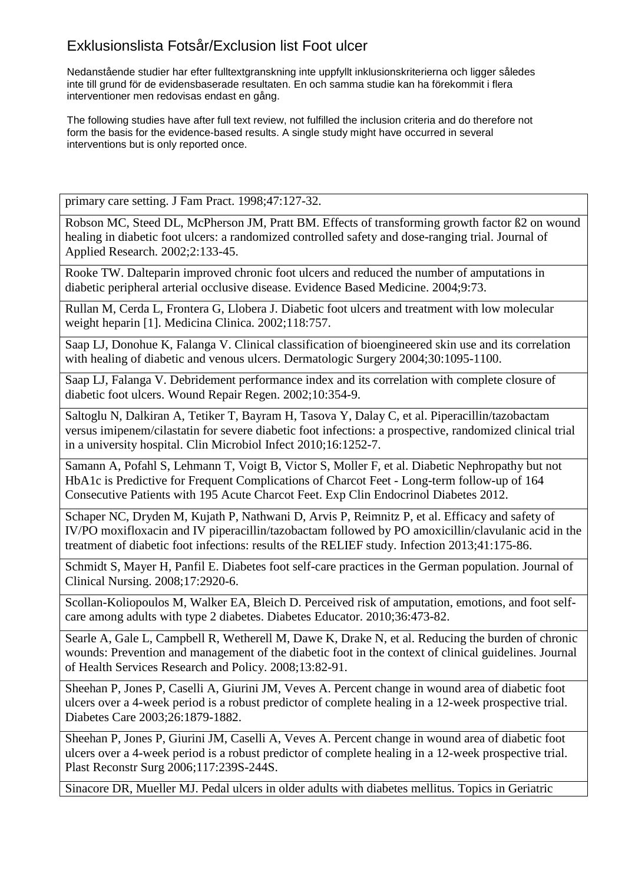Nedanstående studier har efter fulltextgranskning inte uppfyllt inklusionskriterierna och ligger således inte till grund för de evidensbaserade resultaten. En och samma studie kan ha förekommit i flera interventioner men redovisas endast en gång.

The following studies have after full text review, not fulfilled the inclusion criteria and do therefore not form the basis for the evidence-based results. A single study might have occurred in several interventions but is only reported once.

primary care setting. J Fam Pract. 1998;47:127-32.

Robson MC, Steed DL, McPherson JM, Pratt BM. Effects of transforming growth factor ß2 on wound healing in diabetic foot ulcers: a randomized controlled safety and dose-ranging trial. Journal of Applied Research. 2002;2:133-45.

Rooke TW. Dalteparin improved chronic foot ulcers and reduced the number of amputations in diabetic peripheral arterial occlusive disease. Evidence Based Medicine. 2004;9:73.

Rullan M, Cerda L, Frontera G, Llobera J. Diabetic foot ulcers and treatment with low molecular weight heparin [1]. Medicina Clinica. 2002;118:757.

Saap LJ, Donohue K, Falanga V. Clinical classification of bioengineered skin use and its correlation with healing of diabetic and venous ulcers. Dermatologic Surgery 2004;30:1095-1100.

Saap LJ, Falanga V. Debridement performance index and its correlation with complete closure of diabetic foot ulcers. Wound Repair Regen. 2002;10:354-9.

Saltoglu N, Dalkiran A, Tetiker T, Bayram H, Tasova Y, Dalay C, et al. Piperacillin/tazobactam versus imipenem/cilastatin for severe diabetic foot infections: a prospective, randomized clinical trial in a university hospital. Clin Microbiol Infect 2010;16:1252-7.

Samann A, Pofahl S, Lehmann T, Voigt B, Victor S, Moller F, et al. Diabetic Nephropathy but not HbA1c is Predictive for Frequent Complications of Charcot Feet - Long-term follow-up of 164 Consecutive Patients with 195 Acute Charcot Feet. Exp Clin Endocrinol Diabetes 2012.

Schaper NC, Dryden M, Kujath P, Nathwani D, Arvis P, Reimnitz P, et al. Efficacy and safety of IV/PO moxifloxacin and IV piperacillin/tazobactam followed by PO amoxicillin/clavulanic acid in the treatment of diabetic foot infections: results of the RELIEF study. Infection 2013;41:175-86.

Schmidt S, Mayer H, Panfil E. Diabetes foot self-care practices in the German population. Journal of Clinical Nursing. 2008;17:2920-6.

Scollan-Koliopoulos M, Walker EA, Bleich D. Perceived risk of amputation, emotions, and foot selfcare among adults with type 2 diabetes. Diabetes Educator. 2010;36:473-82.

Searle A, Gale L, Campbell R, Wetherell M, Dawe K, Drake N, et al. Reducing the burden of chronic wounds: Prevention and management of the diabetic foot in the context of clinical guidelines. Journal of Health Services Research and Policy. 2008;13:82-91.

Sheehan P, Jones P, Caselli A, Giurini JM, Veves A. Percent change in wound area of diabetic foot ulcers over a 4-week period is a robust predictor of complete healing in a 12-week prospective trial. Diabetes Care 2003;26:1879-1882.

Sheehan P, Jones P, Giurini JM, Caselli A, Veves A. Percent change in wound area of diabetic foot ulcers over a 4-week period is a robust predictor of complete healing in a 12-week prospective trial. Plast Reconstr Surg 2006;117:239S-244S.

Sinacore DR, Mueller MJ. Pedal ulcers in older adults with diabetes mellitus. Topics in Geriatric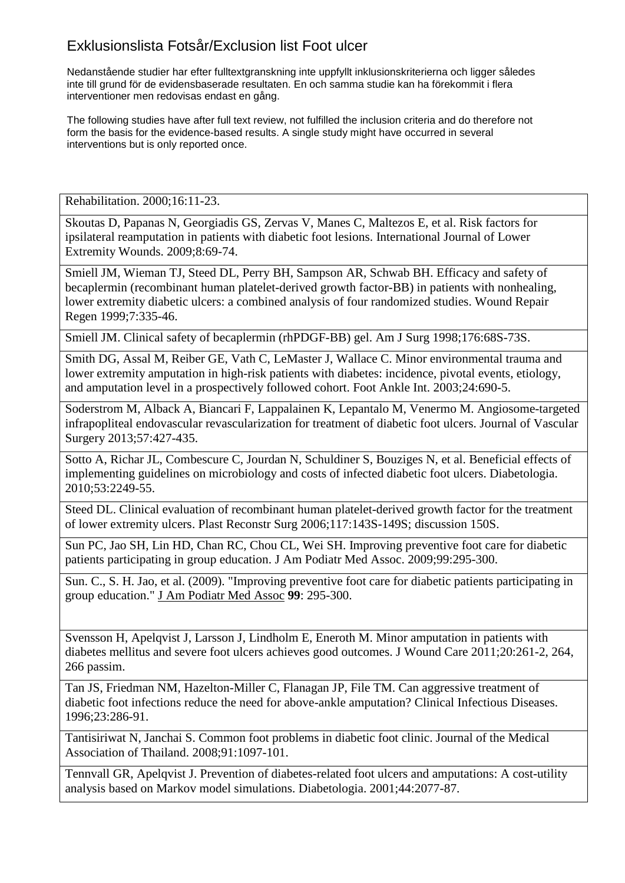Nedanstående studier har efter fulltextgranskning inte uppfyllt inklusionskriterierna och ligger således inte till grund för de evidensbaserade resultaten. En och samma studie kan ha förekommit i flera interventioner men redovisas endast en gång.

The following studies have after full text review, not fulfilled the inclusion criteria and do therefore not form the basis for the evidence-based results. A single study might have occurred in several interventions but is only reported once.

Rehabilitation. 2000;16:11-23.

Skoutas D, Papanas N, Georgiadis GS, Zervas V, Manes C, Maltezos E, et al. Risk factors for ipsilateral reamputation in patients with diabetic foot lesions. International Journal of Lower Extremity Wounds. 2009;8:69-74.

Smiell JM, Wieman TJ, Steed DL, Perry BH, Sampson AR, Schwab BH. Efficacy and safety of becaplermin (recombinant human platelet-derived growth factor-BB) in patients with nonhealing, lower extremity diabetic ulcers: a combined analysis of four randomized studies. Wound Repair Regen 1999;7:335-46.

Smiell JM. Clinical safety of becaplermin (rhPDGF-BB) gel. Am J Surg 1998;176:68S-73S.

Smith DG, Assal M, Reiber GE, Vath C, LeMaster J, Wallace C. Minor environmental trauma and lower extremity amputation in high-risk patients with diabetes: incidence, pivotal events, etiology, and amputation level in a prospectively followed cohort. Foot Ankle Int. 2003;24:690-5.

Soderstrom M, Alback A, Biancari F, Lappalainen K, Lepantalo M, Venermo M. Angiosome-targeted infrapopliteal endovascular revascularization for treatment of diabetic foot ulcers. Journal of Vascular Surgery 2013;57:427-435.

Sotto A, Richar JL, Combescure C, Jourdan N, Schuldiner S, Bouziges N, et al. Beneficial effects of implementing guidelines on microbiology and costs of infected diabetic foot ulcers. Diabetologia. 2010;53:2249-55.

Steed DL. Clinical evaluation of recombinant human platelet-derived growth factor for the treatment of lower extremity ulcers. Plast Reconstr Surg 2006;117:143S-149S; discussion 150S.

Sun PC, Jao SH, Lin HD, Chan RC, Chou CL, Wei SH. Improving preventive foot care for diabetic patients participating in group education. J Am Podiatr Med Assoc. 2009;99:295-300.

Sun. C., S. H. Jao, et al. (2009). "Improving preventive foot care for diabetic patients participating in group education." J Am Podiatr Med Assoc **99**: 295-300.

Svensson H, Apelqvist J, Larsson J, Lindholm E, Eneroth M. Minor amputation in patients with diabetes mellitus and severe foot ulcers achieves good outcomes. J Wound Care 2011;20:261-2, 264, 266 passim.

Tan JS, Friedman NM, Hazelton-Miller C, Flanagan JP, File TM. Can aggressive treatment of diabetic foot infections reduce the need for above-ankle amputation? Clinical Infectious Diseases. 1996;23:286-91.

Tantisiriwat N, Janchai S. Common foot problems in diabetic foot clinic. Journal of the Medical Association of Thailand. 2008;91:1097-101.

Tennvall GR, Apelqvist J. Prevention of diabetes-related foot ulcers and amputations: A cost-utility analysis based on Markov model simulations. Diabetologia. 2001;44:2077-87.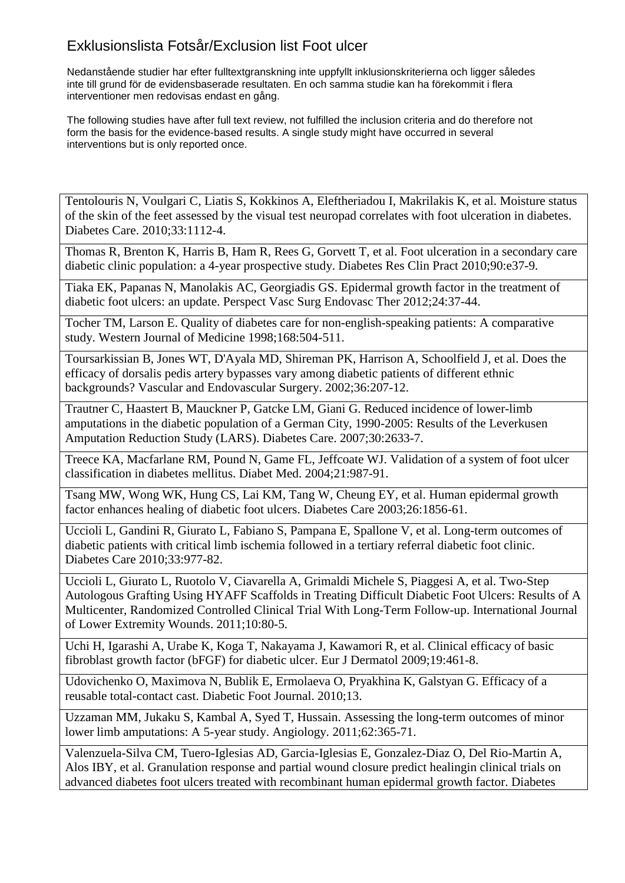Nedanstående studier har efter fulltextgranskning inte uppfyllt inklusionskriterierna och ligger således inte till grund för de evidensbaserade resultaten. En och samma studie kan ha förekommit i flera interventioner men redovisas endast en gång.

The following studies have after full text review, not fulfilled the inclusion criteria and do therefore not form the basis for the evidence-based results. A single study might have occurred in several interventions but is only reported once.

Tentolouris N, Voulgari C, Liatis S, Kokkinos A, Eleftheriadou I, Makrilakis K, et al. Moisture status of the skin of the feet assessed by the visual test neuropad correlates with foot ulceration in diabetes. Diabetes Care. 2010;33:1112-4.

Thomas R, Brenton K, Harris B, Ham R, Rees G, Gorvett T, et al. Foot ulceration in a secondary care diabetic clinic population: a 4-year prospective study. Diabetes Res Clin Pract 2010;90:e37-9.

Tiaka EK, Papanas N, Manolakis AC, Georgiadis GS. Epidermal growth factor in the treatment of diabetic foot ulcers: an update. Perspect Vasc Surg Endovasc Ther 2012;24:37-44.

Tocher TM, Larson E. Quality of diabetes care for non-english-speaking patients: A comparative study. Western Journal of Medicine 1998;168:504-511.

Toursarkissian B, Jones WT, D'Ayala MD, Shireman PK, Harrison A, Schoolfield J, et al. Does the efficacy of dorsalis pedis artery bypasses vary among diabetic patients of different ethnic backgrounds? Vascular and Endovascular Surgery. 2002;36:207-12.

Trautner C, Haastert B, Mauckner P, Gatcke LM, Giani G. Reduced incidence of lower-limb amputations in the diabetic population of a German City, 1990-2005: Results of the Leverkusen Amputation Reduction Study (LARS). Diabetes Care. 2007;30:2633-7.

Treece KA, Macfarlane RM, Pound N, Game FL, Jeffcoate WJ. Validation of a system of foot ulcer classification in diabetes mellitus. Diabet Med. 2004;21:987-91.

Tsang MW, Wong WK, Hung CS, Lai KM, Tang W, Cheung EY, et al. Human epidermal growth factor enhances healing of diabetic foot ulcers. Diabetes Care 2003;26:1856-61.

Uccioli L, Gandini R, Giurato L, Fabiano S, Pampana E, Spallone V, et al. Long-term outcomes of diabetic patients with critical limb ischemia followed in a tertiary referral diabetic foot clinic. Diabetes Care 2010;33:977-82.

Uccioli L, Giurato L, Ruotolo V, Ciavarella A, Grimaldi Michele S, Piaggesi A, et al. Two-Step Autologous Grafting Using HYAFF Scaffolds in Treating Difficult Diabetic Foot Ulcers: Results of A Multicenter, Randomized Controlled Clinical Trial With Long-Term Follow-up. International Journal of Lower Extremity Wounds. 2011;10:80-5.

Uchi H, Igarashi A, Urabe K, Koga T, Nakayama J, Kawamori R, et al. Clinical efficacy of basic fibroblast growth factor (bFGF) for diabetic ulcer. Eur J Dermatol 2009;19:461-8.

Udovichenko O, Maximova N, Bublik E, Ermolaeva O, Pryakhina K, Galstyan G. Efficacy of a reusable total-contact cast. Diabetic Foot Journal. 2010;13.

Uzzaman MM, Jukaku S, Kambal A, Syed T, Hussain. Assessing the long-term outcomes of minor lower limb amputations: A 5-year study. Angiology. 2011;62:365-71.

Valenzuela-Silva CM, Tuero-Iglesias AD, Garcia-Iglesias E, Gonzalez-Diaz O, Del Rio-Martin A, Alos IBY, et al. Granulation response and partial wound closure predict healingin clinical trials on advanced diabetes foot ulcers treated with recombinant human epidermal growth factor. Diabetes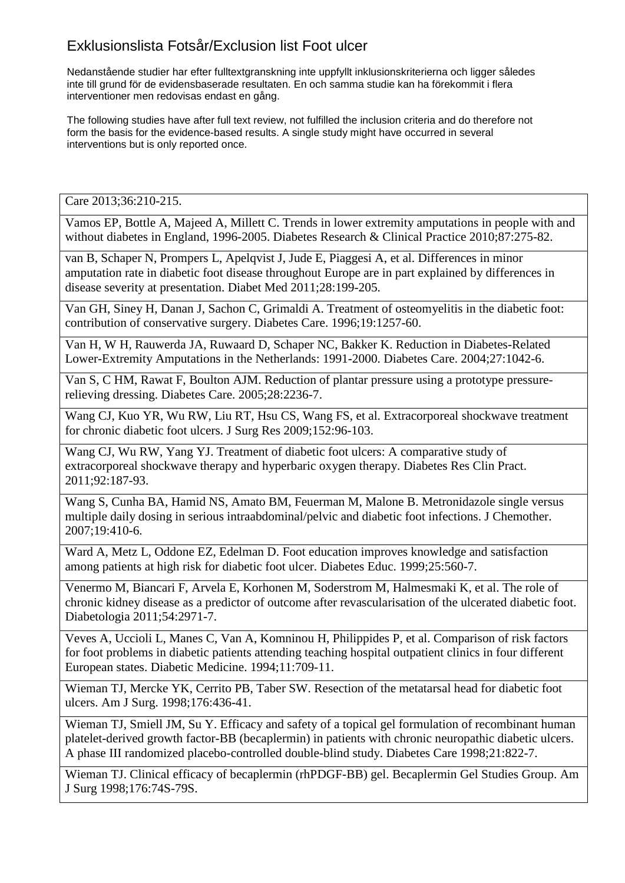Nedanstående studier har efter fulltextgranskning inte uppfyllt inklusionskriterierna och ligger således inte till grund för de evidensbaserade resultaten. En och samma studie kan ha förekommit i flera interventioner men redovisas endast en gång.

The following studies have after full text review, not fulfilled the inclusion criteria and do therefore not form the basis for the evidence-based results. A single study might have occurred in several interventions but is only reported once.

Care 2013;36:210-215.

Vamos EP, Bottle A, Majeed A, Millett C. Trends in lower extremity amputations in people with and without diabetes in England, 1996-2005. Diabetes Research & Clinical Practice 2010;87:275-82.

van B, Schaper N, Prompers L, Apelqvist J, Jude E, Piaggesi A, et al. Differences in minor amputation rate in diabetic foot disease throughout Europe are in part explained by differences in disease severity at presentation. Diabet Med 2011;28:199-205.

Van GH, Siney H, Danan J, Sachon C, Grimaldi A. Treatment of osteomyelitis in the diabetic foot: contribution of conservative surgery. Diabetes Care. 1996;19:1257-60.

Van H, W H, Rauwerda JA, Ruwaard D, Schaper NC, Bakker K. Reduction in Diabetes-Related Lower-Extremity Amputations in the Netherlands: 1991-2000. Diabetes Care. 2004;27:1042-6.

Van S, C HM, Rawat F, Boulton AJM. Reduction of plantar pressure using a prototype pressurerelieving dressing. Diabetes Care. 2005;28:2236-7.

Wang CJ, Kuo YR, Wu RW, Liu RT, Hsu CS, Wang FS, et al. Extracorporeal shockwave treatment for chronic diabetic foot ulcers. J Surg Res 2009;152:96-103.

Wang CJ, Wu RW, Yang YJ. Treatment of diabetic foot ulcers: A comparative study of extracorporeal shockwave therapy and hyperbaric oxygen therapy. Diabetes Res Clin Pract. 2011;92:187-93.

Wang S, Cunha BA, Hamid NS, Amato BM, Feuerman M, Malone B. Metronidazole single versus multiple daily dosing in serious intraabdominal/pelvic and diabetic foot infections. J Chemother. 2007;19:410-6.

Ward A, Metz L, Oddone EZ, Edelman D. Foot education improves knowledge and satisfaction among patients at high risk for diabetic foot ulcer. Diabetes Educ. 1999;25:560-7.

Venermo M, Biancari F, Arvela E, Korhonen M, Soderstrom M, Halmesmaki K, et al. The role of chronic kidney disease as a predictor of outcome after revascularisation of the ulcerated diabetic foot. Diabetologia 2011;54:2971-7.

Veves A, Uccioli L, Manes C, Van A, Komninou H, Philippides P, et al. Comparison of risk factors for foot problems in diabetic patients attending teaching hospital outpatient clinics in four different European states. Diabetic Medicine. 1994;11:709-11.

Wieman TJ, Mercke YK, Cerrito PB, Taber SW. Resection of the metatarsal head for diabetic foot ulcers. Am J Surg. 1998;176:436-41.

Wieman TJ, Smiell JM, Su Y. Efficacy and safety of a topical gel formulation of recombinant human platelet-derived growth factor-BB (becaplermin) in patients with chronic neuropathic diabetic ulcers. A phase III randomized placebo-controlled double-blind study. Diabetes Care 1998;21:822-7.

Wieman TJ. Clinical efficacy of becaplermin (rhPDGF-BB) gel. Becaplermin Gel Studies Group. Am J Surg 1998;176:74S-79S.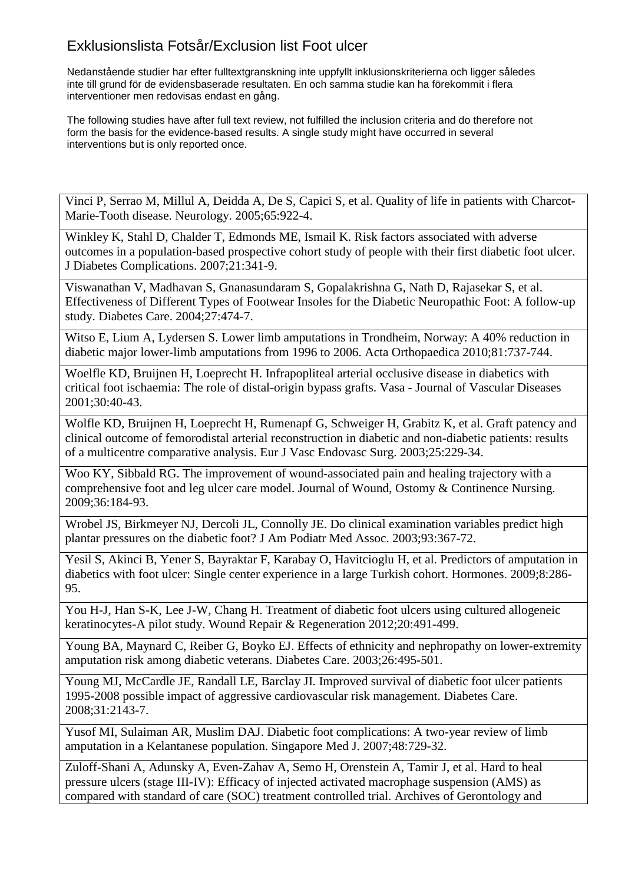Nedanstående studier har efter fulltextgranskning inte uppfyllt inklusionskriterierna och ligger således inte till grund för de evidensbaserade resultaten. En och samma studie kan ha förekommit i flera interventioner men redovisas endast en gång.

The following studies have after full text review, not fulfilled the inclusion criteria and do therefore not form the basis for the evidence-based results. A single study might have occurred in several interventions but is only reported once.

Vinci P, Serrao M, Millul A, Deidda A, De S, Capici S, et al. Quality of life in patients with Charcot-Marie-Tooth disease. Neurology. 2005;65:922-4.

Winkley K, Stahl D, Chalder T, Edmonds ME, Ismail K. Risk factors associated with adverse outcomes in a population-based prospective cohort study of people with their first diabetic foot ulcer. J Diabetes Complications. 2007;21:341-9.

Viswanathan V, Madhavan S, Gnanasundaram S, Gopalakrishna G, Nath D, Rajasekar S, et al. Effectiveness of Different Types of Footwear Insoles for the Diabetic Neuropathic Foot: A follow-up study. Diabetes Care. 2004;27:474-7.

Witso E, Lium A, Lydersen S. Lower limb amputations in Trondheim, Norway: A 40% reduction in diabetic major lower-limb amputations from 1996 to 2006. Acta Orthopaedica 2010;81:737-744.

Woelfle KD, Bruijnen H, Loeprecht H. Infrapopliteal arterial occlusive disease in diabetics with critical foot ischaemia: The role of distal-origin bypass grafts. Vasa - Journal of Vascular Diseases 2001;30:40-43.

Wolfle KD, Bruijnen H, Loeprecht H, Rumenapf G, Schweiger H, Grabitz K, et al. Graft patency and clinical outcome of femorodistal arterial reconstruction in diabetic and non-diabetic patients: results of a multicentre comparative analysis. Eur J Vasc Endovasc Surg. 2003;25:229-34.

Woo KY, Sibbald RG. The improvement of wound-associated pain and healing trajectory with a comprehensive foot and leg ulcer care model. Journal of Wound, Ostomy & Continence Nursing. 2009;36:184-93.

Wrobel JS, Birkmeyer NJ, Dercoli JL, Connolly JE. Do clinical examination variables predict high plantar pressures on the diabetic foot? J Am Podiatr Med Assoc. 2003;93:367-72.

Yesil S, Akinci B, Yener S, Bayraktar F, Karabay O, Havitcioglu H, et al. Predictors of amputation in diabetics with foot ulcer: Single center experience in a large Turkish cohort. Hormones. 2009;8:286- 95.

You H-J, Han S-K, Lee J-W, Chang H. Treatment of diabetic foot ulcers using cultured allogeneic keratinocytes-A pilot study. Wound Repair & Regeneration 2012;20:491-499.

Young BA, Maynard C, Reiber G, Boyko EJ. Effects of ethnicity and nephropathy on lower-extremity amputation risk among diabetic veterans. Diabetes Care. 2003;26:495-501.

Young MJ, McCardle JE, Randall LE, Barclay JI. Improved survival of diabetic foot ulcer patients 1995-2008 possible impact of aggressive cardiovascular risk management. Diabetes Care. 2008;31:2143-7.

Yusof MI, Sulaiman AR, Muslim DAJ. Diabetic foot complications: A two-year review of limb amputation in a Kelantanese population. Singapore Med J. 2007;48:729-32.

Zuloff-Shani A, Adunsky A, Even-Zahav A, Semo H, Orenstein A, Tamir J, et al. Hard to heal pressure ulcers (stage III-IV): Efficacy of injected activated macrophage suspension (AMS) as compared with standard of care (SOC) treatment controlled trial. Archives of Gerontology and